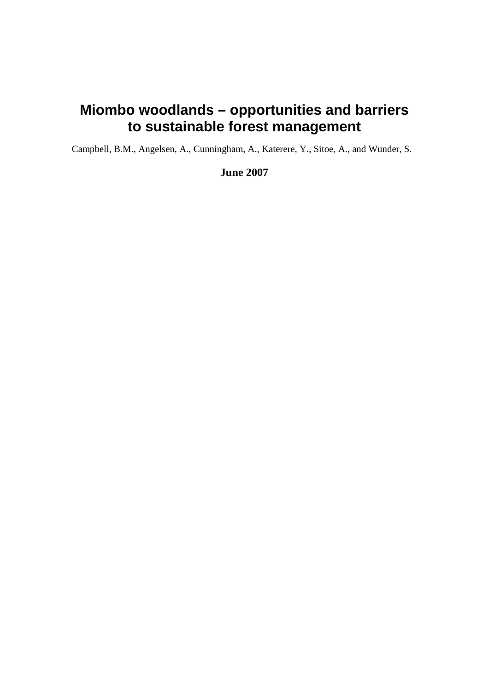# **Miombo woodlands – opportunities and barriers to sustainable forest management**

Campbell, B.M., Angelsen, A., Cunningham, A., Katerere, Y., Sitoe, A., and Wunder, S.

**June 2007**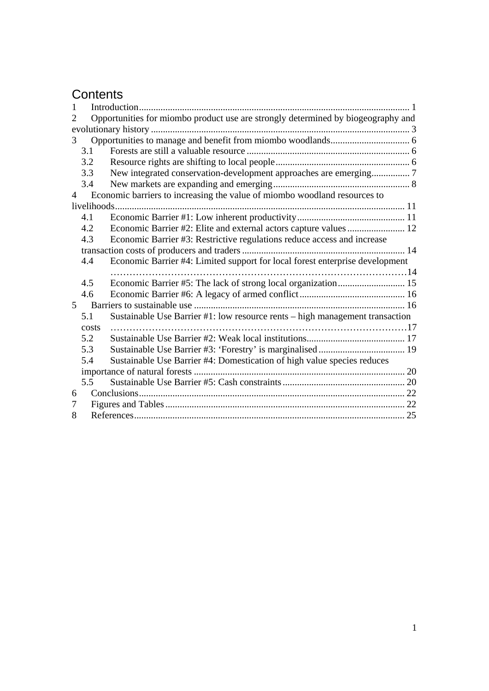# **Contents**

| 1              |       |                                                                                  |  |  |  |  |  |
|----------------|-------|----------------------------------------------------------------------------------|--|--|--|--|--|
| 2              |       | Opportunities for miombo product use are strongly determined by biogeography and |  |  |  |  |  |
|                |       |                                                                                  |  |  |  |  |  |
| 3              |       |                                                                                  |  |  |  |  |  |
|                | 3.1   |                                                                                  |  |  |  |  |  |
|                | 3.2   |                                                                                  |  |  |  |  |  |
|                | 3.3   | New integrated conservation-development approaches are emerging 7                |  |  |  |  |  |
|                | 3.4   |                                                                                  |  |  |  |  |  |
| $\overline{4}$ |       | Economic barriers to increasing the value of miombo woodland resources to        |  |  |  |  |  |
|                |       | livelihoods                                                                      |  |  |  |  |  |
|                | 4.1   |                                                                                  |  |  |  |  |  |
|                | 4.2   |                                                                                  |  |  |  |  |  |
|                | 4.3   | Economic Barrier #3: Restrictive regulations reduce access and increase          |  |  |  |  |  |
|                |       |                                                                                  |  |  |  |  |  |
|                | 4.4   | Economic Barrier #4: Limited support for local forest enterprise development     |  |  |  |  |  |
|                |       |                                                                                  |  |  |  |  |  |
|                | 4.5   | Economic Barrier #5: The lack of strong local organization 15                    |  |  |  |  |  |
|                | 4.6   |                                                                                  |  |  |  |  |  |
| 5 <sup>1</sup> |       |                                                                                  |  |  |  |  |  |
|                | 5.1   | Sustainable Use Barrier #1: low resource rents – high management transaction     |  |  |  |  |  |
|                | costs |                                                                                  |  |  |  |  |  |
|                | 5.2   |                                                                                  |  |  |  |  |  |
|                | 5.3   |                                                                                  |  |  |  |  |  |
|                | 5.4   | Sustainable Use Barrier #4: Domestication of high value species reduces          |  |  |  |  |  |
|                |       |                                                                                  |  |  |  |  |  |
|                | 5.5   |                                                                                  |  |  |  |  |  |
| 6              |       |                                                                                  |  |  |  |  |  |
| 7              |       |                                                                                  |  |  |  |  |  |
| 8              |       |                                                                                  |  |  |  |  |  |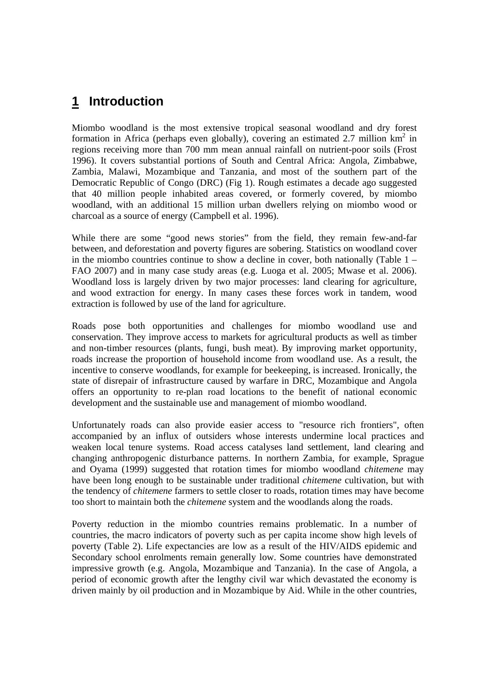## **1 Introduction**

Miombo woodland is the most extensive tropical seasonal woodland and dry forest formation in Africa (perhaps even globally), covering an estimated 2.7 million  $km^2$  in regions receiving more than 700 mm mean annual rainfall on nutrient-poor soils (Frost 1996). It covers substantial portions of South and Central Africa: Angola, Zimbabwe, Zambia, Malawi, Mozambique and Tanzania, and most of the southern part of the Democratic Republic of Congo (DRC) (Fig 1). Rough estimates a decade ago suggested that 40 million people inhabited areas covered, or formerly covered, by miombo woodland, with an additional 15 million urban dwellers relying on miombo wood or charcoal as a source of energy (Campbell et al. 1996).

While there are some "good news stories" from the field, they remain few-and-far between, and deforestation and poverty figures are sobering. Statistics on woodland cover in the miombo countries continue to show a decline in cover, both nationally (Table  $1 -$ FAO 2007) and in many case study areas (e.g. Luoga et al. 2005; Mwase et al. 2006). Woodland loss is largely driven by two major processes: land clearing for agriculture, and wood extraction for energy. In many cases these forces work in tandem, wood extraction is followed by use of the land for agriculture.

Roads pose both opportunities and challenges for miombo woodland use and conservation. They improve access to markets for agricultural products as well as timber and non-timber resources (plants, fungi, bush meat). By improving market opportunity, roads increase the proportion of household income from woodland use. As a result, the incentive to conserve woodlands, for example for beekeeping, is increased. Ironically, the state of disrepair of infrastructure caused by warfare in DRC, Mozambique and Angola offers an opportunity to re-plan road locations to the benefit of national economic development and the sustainable use and management of miombo woodland.

Unfortunately roads can also provide easier access to "resource rich frontiers", often accompanied by an influx of outsiders whose interests undermine local practices and weaken local tenure systems. Road access catalyses land settlement, land clearing and changing anthropogenic disturbance patterns. In northern Zambia, for example, Sprague and Oyama (1999) suggested that rotation times for miombo woodland *chitemene* may have been long enough to be sustainable under traditional *chitemene* cultivation, but with the tendency of *chitemene* farmers to settle closer to roads, rotation times may have become too short to maintain both the *chitemene* system and the woodlands along the roads.

Poverty reduction in the miombo countries remains problematic. In a number of countries, the macro indicators of poverty such as per capita income show high levels of poverty (Table 2). Life expectancies are low as a result of the HIV/AIDS epidemic and Secondary school enrolments remain generally low. Some countries have demonstrated impressive growth (e.g. Angola, Mozambique and Tanzania). In the case of Angola, a period of economic growth after the lengthy civil war which devastated the economy is driven mainly by oil production and in Mozambique by Aid. While in the other countries,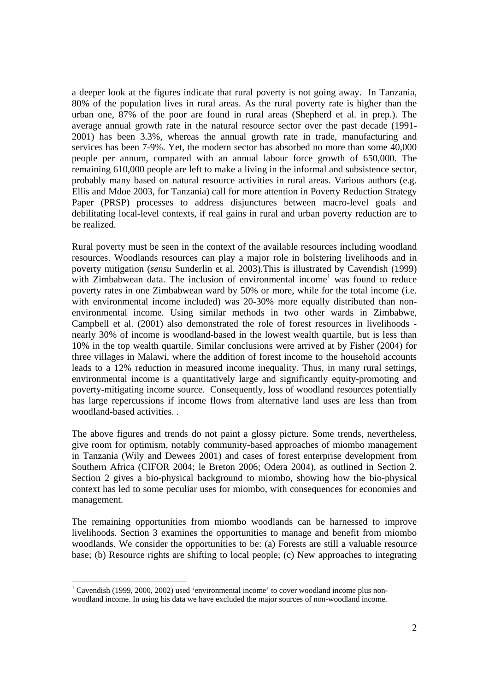a deeper look at the figures indicate that rural poverty is not going away. In Tanzania, 80% of the population lives in rural areas. As the rural poverty rate is higher than the urban one, 87% of the poor are found in rural areas (Shepherd et al. in prep.). The average annual growth rate in the natural resource sector over the past decade (1991- 2001) has been 3.3%, whereas the annual growth rate in trade, manufacturing and services has been 7-9%. Yet, the modern sector has absorbed no more than some 40,000 people per annum, compared with an annual labour force growth of 650,000. The remaining 610,000 people are left to make a living in the informal and subsistence sector, probably many based on natural resource activities in rural areas. Various authors (e.g. Ellis and Mdoe 2003, for Tanzania) call for more attention in Poverty Reduction Strategy Paper (PRSP) processes to address disjunctures between macro-level goals and debilitating local-level contexts, if real gains in rural and urban poverty reduction are to be realized.

Rural poverty must be seen in the context of the available resources including woodland resources. Woodlands resources can play a major role in bolstering livelihoods and in poverty mitigation (*sensu* Sunderlin et al. 2003).This is illustrated by Cavendish (1999) with Zimbabwean data. The inclusion of environmental income<sup>1</sup> was found to reduce poverty rates in one Zimbabwean ward by 50% or more, while for the total income (i.e. with environmental income included) was 20-30% more equally distributed than nonenvironmental income. Using similar methods in two other wards in Zimbabwe, Campbell et al. (2001) also demonstrated the role of forest resources in livelihoods nearly 30% of income is woodland-based in the lowest wealth quartile, but is less than 10% in the top wealth quartile. Similar conclusions were arrived at by Fisher (2004) for three villages in Malawi, where the addition of forest income to the household accounts leads to a 12% reduction in measured income inequality. Thus, in many rural settings, environmental income is a quantitatively large and significantly equity-promoting and poverty-mitigating income source. Consequently, loss of woodland resources potentially has large repercussions if income flows from alternative land uses are less than from woodland-based activities. .

The above figures and trends do not paint a glossy picture. Some trends, nevertheless, give room for optimism, notably community-based approaches of miombo management in Tanzania (Wily and Dewees 2001) and cases of forest enterprise development from Southern Africa (CIFOR 2004; le Breton 2006; Odera 2004), as outlined in Section 2. Section 2 gives a bio-physical background to miombo, showing how the bio-physical context has led to some peculiar uses for miombo, with consequences for economies and management.

The remaining opportunities from miombo woodlands can be harnessed to improve livelihoods. Section 3 examines the opportunities to manage and benefit from miombo woodlands. We consider the opportunities to be: (a) Forests are still a valuable resource base; (b) Resource rights are shifting to local people; (c) New approaches to integrating

 $1$  Cavendish (1999, 2000, 2002) used 'environmental income' to cover woodland income plus nonwoodland income. In using his data we have excluded the major sources of non-woodland income.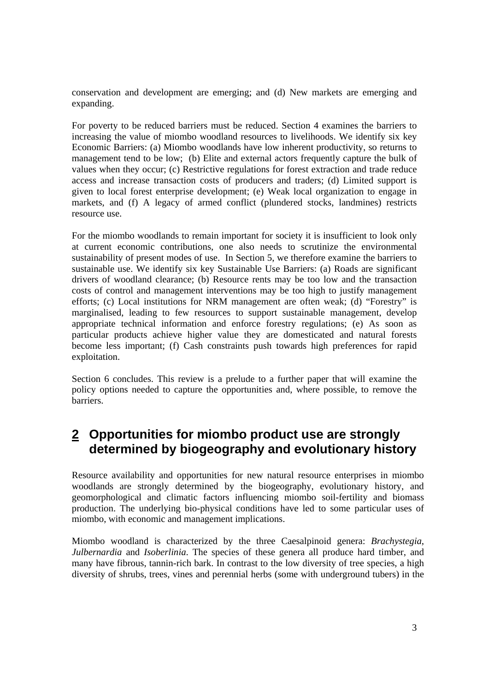conservation and development are emerging; and (d) New markets are emerging and expanding.

For poverty to be reduced barriers must be reduced. Section 4 examines the barriers to increasing the value of miombo woodland resources to livelihoods. We identify six key Economic Barriers: (a) Miombo woodlands have low inherent productivity, so returns to management tend to be low; (b) Elite and external actors frequently capture the bulk of values when they occur; (c) Restrictive regulations for forest extraction and trade reduce access and increase transaction costs of producers and traders; (d) Limited support is given to local forest enterprise development; (e) Weak local organization to engage in markets, and (f) A legacy of armed conflict (plundered stocks, landmines) restricts resource use.

For the miombo woodlands to remain important for society it is insufficient to look only at current economic contributions, one also needs to scrutinize the environmental sustainability of present modes of use. In Section 5, we therefore examine the barriers to sustainable use. We identify six key Sustainable Use Barriers: (a) Roads are significant drivers of woodland clearance; (b) Resource rents may be too low and the transaction costs of control and management interventions may be too high to justify management efforts; (c) Local institutions for NRM management are often weak; (d) "Forestry" is marginalised, leading to few resources to support sustainable management, develop appropriate technical information and enforce forestry regulations; (e) As soon as particular products achieve higher value they are domesticated and natural forests become less important; (f) Cash constraints push towards high preferences for rapid exploitation.

Section 6 concludes. This review is a prelude to a further paper that will examine the policy options needed to capture the opportunities and, where possible, to remove the barriers.

## **2 Opportunities for miombo product use are strongly determined by biogeography and evolutionary history**

Resource availability and opportunities for new natural resource enterprises in miombo woodlands are strongly determined by the biogeography, evolutionary history, and geomorphological and climatic factors influencing miombo soil-fertility and biomass production. The underlying bio-physical conditions have led to some particular uses of miombo, with economic and management implications.

Miombo woodland is characterized by the three Caesalpinoid genera: *Brachystegia*, *Julbernardia* and *Isoberlinia*. The species of these genera all produce hard timber, and many have fibrous, tannin-rich bark. In contrast to the low diversity of tree species, a high diversity of shrubs, trees, vines and perennial herbs (some with underground tubers) in the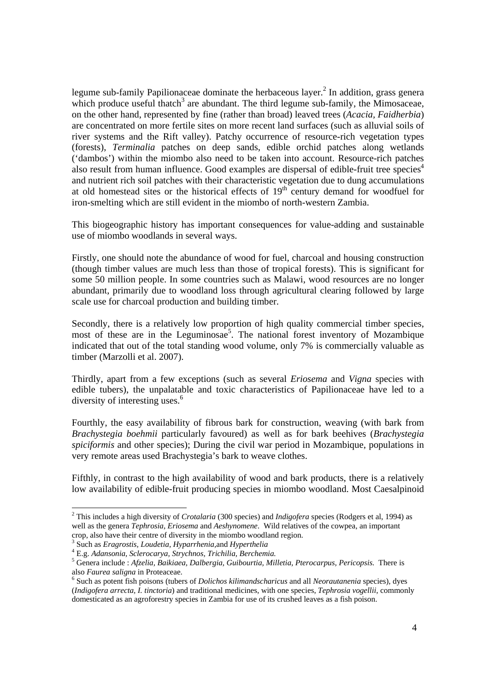legume sub-family Papilionaceae dominate the herbaceous layer.<sup>2</sup> In addition, grass genera which produce useful thatch<sup>3</sup> are abundant. The third legume sub-family, the Mimosaceae, on the other hand, represented by fine (rather than broad) leaved trees (*Acacia, Faidherbia*) are concentrated on more fertile sites on more recent land surfaces (such as alluvial soils of river systems and the Rift valley). Patchy occurrence of resource-rich vegetation types (forests), *Terminalia* patches on deep sands, edible orchid patches along wetlands ('dambos') within the miombo also need to be taken into account. Resource-rich patches also result from human influence. Good examples are dispersal of edible-fruit tree species<sup>4</sup> and nutrient rich soil patches with their characteristic vegetation due to dung accumulations at old homestead sites or the historical effects of  $19<sup>th</sup>$  century demand for woodfuel for iron-smelting which are still evident in the miombo of north-western Zambia.

This biogeographic history has important consequences for value-adding and sustainable use of miombo woodlands in several ways.

Firstly, one should note the abundance of wood for fuel, charcoal and housing construction (though timber values are much less than those of tropical forests). This is significant for some 50 million people. In some countries such as Malawi, wood resources are no longer abundant, primarily due to woodland loss through agricultural clearing followed by large scale use for charcoal production and building timber.

Secondly, there is a relatively low proportion of high quality commercial timber species, most of these are in the Leguminosae<sup>5</sup>. The national forest inventory of Mozambique indicated that out of the total standing wood volume, only 7% is commercially valuable as timber (Marzolli et al. 2007).

Thirdly, apart from a few exceptions (such as several *Eriosema* and *Vigna* species with edible tubers), the unpalatable and toxic characteristics of Papilionaceae have led to a diversity of interesting uses.<sup>6</sup>

Fourthly, the easy availability of fibrous bark for construction, weaving (with bark from *Brachystegia boehmii* particularly favoured) as well as for bark beehives (*Brachystegia spiciformis* and other species); During the civil war period in Mozambique, populations in very remote areas used Brachystegia's bark to weave clothes.

Fifthly, in contrast to the high availability of wood and bark products, there is a relatively low availability of edible-fruit producing species in miombo woodland. Most Caesalpinoid

 2 This includes a high diversity of *Crotalaria* (300 species) and *Indigofera* species (Rodgers et al, 1994) as well as the genera *Tephrosia*, *Eriosema* and *Aeshynomene*. Wild relatives of the cowpea, an important crop, also have their centre of diversity in the miombo woodland region.

<sup>3</sup> Such as *Eragrostis, Loudetia, Hyparrhenia,*and *Hyperthelia* <sup>4</sup>

E.g. *Adansonia, Sclerocarya, Strychnos, Trichilia, Berchemia.* <sup>5</sup>

Genera include : *Afzelia, Baikiaea, Dalbergia, Guibourtia, Milletia, Pterocarpus, Pericopsis.* There is also *Faurea saligna* in Proteaceae. 6

Such as potent fish poisons (tubers of *Dolichos kilimandscharicus* and all *Neorautanenia* species), dyes (*Indigofera arrecta, I. tinctoria*) and traditional medicines, with one species, *Tephrosia vogellii*, commonly domesticated as an agroforestry species in Zambia for use of its crushed leaves as a fish poison.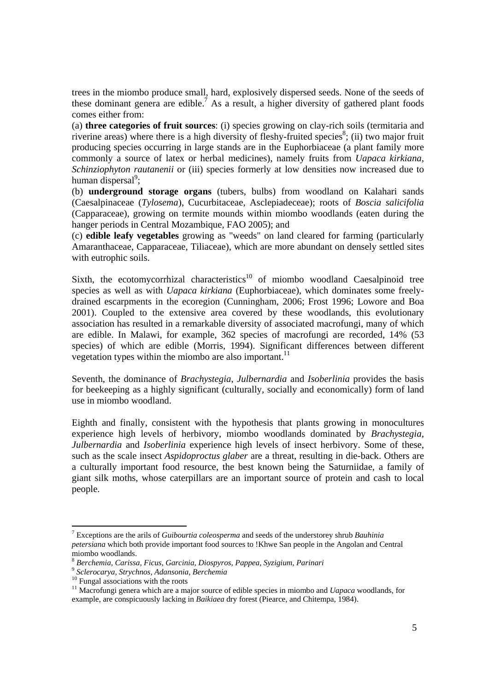trees in the miombo produce small, hard, explosively dispersed seeds. None of the seeds of these dominant genera are edible.<sup>7</sup> As a result, a higher diversity of gathered plant foods comes either from:

(a) **three categories of fruit sources**: (i) species growing on clay-rich soils (termitaria and riverine areas) where there is a high diversity of fleshy-fruited species<sup>8</sup>; (ii) two major fruit producing species occurring in large stands are in the Euphorbiaceae (a plant family more commonly a source of latex or herbal medicines), namely fruits from *Uapaca kirkiana, Schinziophyton rautanenii* or (iii) species formerly at low densities now increased due to human dispersal<sup>9</sup>;

(b) **underground storage organs** (tubers, bulbs) from woodland on Kalahari sands (Caesalpinaceae (*Tylosema*), Cucurbitaceae, Asclepiadeceae); roots of *Boscia salicifolia* (Capparaceae), growing on termite mounds within miombo woodlands (eaten during the hanger periods in Central Mozambique, FAO 2005); and

(c) **edible leafy vegetables** growing as "weeds" on land cleared for farming (particularly Amaranthaceae, Capparaceae, Tiliaceae), which are more abundant on densely settled sites with eutrophic soils.

Sixth, the ecotomycorrhizal characteristics<sup>10</sup> of miombo woodland Caesalpinoid tree species as well as with *Uapaca kirkiana* (Euphorbiaceae), which dominates some freelydrained escarpments in the ecoregion (Cunningham, 2006; Frost 1996; Lowore and Boa 2001). Coupled to the extensive area covered by these woodlands, this evolutionary association has resulted in a remarkable diversity of associated macrofungi, many of which are edible. In Malawi, for example, 362 species of macrofungi are recorded, 14% (53 species) of which are edible (Morris, 1994). Significant differences between different vegetation types within the miombo are also important.<sup>11</sup>

Seventh, the dominance of *Brachystegia*, *Julbernardia* and *Isoberlinia* provides the basis for beekeeping as a highly significant (culturally, socially and economically) form of land use in miombo woodland.

Eighth and finally, consistent with the hypothesis that plants growing in monocultures experience high levels of herbivory, miombo woodlands dominated by *Brachystegia*, *Julbernardia* and *Isoberlinia* experience high levels of insect herbivory. Some of these, such as the scale insect *Aspidoproctus glaber* are a threat, resulting in die-back. Others are a culturally important food resource, the best known being the Saturniidae, a family of giant silk moths, whose caterpillars are an important source of protein and cash to local people.

<sup>7</sup> Exceptions are the arils of *Guibourtia coleosperma* and seeds of the understorey shrub *Bauhinia petersiana* which both provide important food sources to !Khwe San people in the Angolan and Central miombo woodlands.

<sup>8</sup> *Berchemia, Carissa, Ficus, Garcinia, Diospyros, Pappea, Syzigium, Parinari* <sup>9</sup> *Sclerocarya, Strychnos, Adansonia, Berchemia*

 $10$  Fungal associations with the roots

<sup>&</sup>lt;sup>11</sup> Macrofungi genera which are a major source of edible species in miombo and *Uapaca* woodlands, for example, are conspicuously lacking in *Baikiaea* dry forest (Piearce, and Chitempa, 1984).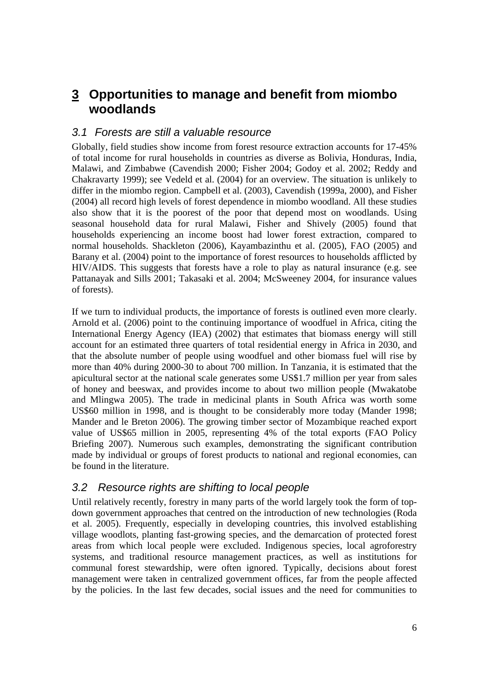## **3 Opportunities to manage and benefit from miombo woodlands**

#### *3.1 Forests are still a valuable resource*

Globally, field studies show income from forest resource extraction accounts for 17-45% of total income for rural households in countries as diverse as Bolivia, Honduras, India, Malawi, and Zimbabwe (Cavendish 2000; Fisher 2004; Godoy et al. 2002; Reddy and Chakravarty 1999); see Vedeld et al. (2004) for an overview. The situation is unlikely to differ in the miombo region. Campbell et al. (2003), Cavendish (1999a, 2000), and Fisher (2004) all record high levels of forest dependence in miombo woodland. All these studies also show that it is the poorest of the poor that depend most on woodlands. Using seasonal household data for rural Malawi, Fisher and Shively (2005) found that households experiencing an income boost had lower forest extraction, compared to normal households. Shackleton (2006), Kayambazinthu et al. (2005), FAO (2005) and Barany et al. (2004) point to the importance of forest resources to households afflicted by HIV/AIDS. This suggests that forests have a role to play as natural insurance (e.g. see Pattanayak and Sills 2001; Takasaki et al. 2004; McSweeney 2004, for insurance values of forests).

If we turn to individual products, the importance of forests is outlined even more clearly. Arnold et al. (2006) point to the continuing importance of woodfuel in Africa, citing the International Energy Agency (IEA) (2002) that estimates that biomass energy will still account for an estimated three quarters of total residential energy in Africa in 2030, and that the absolute number of people using woodfuel and other biomass fuel will rise by more than 40% during 2000-30 to about 700 million. In Tanzania, it is estimated that the apicultural sector at the national scale generates some US\$1.7 million per year from sales of honey and beeswax, and provides income to about two million people (Mwakatobe and Mlingwa 2005). The trade in medicinal plants in South Africa was worth some US\$60 million in 1998, and is thought to be considerably more today (Mander 1998; Mander and le Breton 2006). The growing timber sector of Mozambique reached export value of US\$65 million in 2005, representing 4% of the total exports (FAO Policy Briefing 2007). Numerous such examples, demonstrating the significant contribution made by individual or groups of forest products to national and regional economies, can be found in the literature.

#### *3.2 Resource rights are shifting to local people*

Until relatively recently, forestry in many parts of the world largely took the form of topdown government approaches that centred on the introduction of new technologies (Roda et al. 2005). Frequently, especially in developing countries, this involved establishing village woodlots, planting fast-growing species, and the demarcation of protected forest areas from which local people were excluded. Indigenous species, local agroforestry systems, and traditional resource management practices, as well as institutions for communal forest stewardship, were often ignored. Typically, decisions about forest management were taken in centralized government offices, far from the people affected by the policies. In the last few decades, social issues and the need for communities to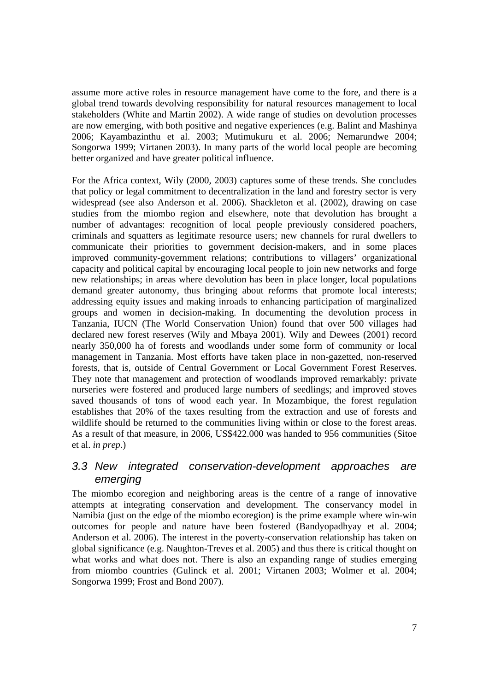assume more active roles in resource management have come to the fore, and there is a global trend towards devolving responsibility for natural resources management to local stakeholders (White and Martin 2002). A wide range of studies on devolution processes are now emerging, with both positive and negative experiences (e.g. Balint and Mashinya 2006; Kayambazinthu et al. 2003; Mutimukuru et al. 2006; Nemarundwe 2004; Songorwa 1999; Virtanen 2003). In many parts of the world local people are becoming better organized and have greater political influence.

For the Africa context, Wily (2000, 2003) captures some of these trends. She concludes that policy or legal commitment to decentralization in the land and forestry sector is very widespread (see also Anderson et al. 2006). Shackleton et al. (2002), drawing on case studies from the miombo region and elsewhere, note that devolution has brought a number of advantages: recognition of local people previously considered poachers, criminals and squatters as legitimate resource users; new channels for rural dwellers to communicate their priorities to government decision-makers, and in some places improved community-government relations; contributions to villagers' organizational capacity and political capital by encouraging local people to join new networks and forge new relationships; in areas where devolution has been in place longer, local populations demand greater autonomy, thus bringing about reforms that promote local interests; addressing equity issues and making inroads to enhancing participation of marginalized groups and women in decision-making. In documenting the devolution process in Tanzania, IUCN (The World Conservation Union) found that over 500 villages had declared new forest reserves (Wily and Mbaya 2001). Wily and Dewees (2001) record nearly 350,000 ha of forests and woodlands under some form of community or local management in Tanzania. Most efforts have taken place in non-gazetted, non-reserved forests, that is, outside of Central Government or Local Government Forest Reserves. They note that management and protection of woodlands improved remarkably: private nurseries were fostered and produced large numbers of seedlings; and improved stoves saved thousands of tons of wood each year. In Mozambique, the forest regulation establishes that 20% of the taxes resulting from the extraction and use of forests and wildlife should be returned to the communities living within or close to the forest areas. As a result of that measure, in 2006, US\$422.000 was handed to 956 communities (Sitoe et al. *in prep*.)

#### *3.3 New integrated conservation-development approaches are emerging*

The miombo ecoregion and neighboring areas is the centre of a range of innovative attempts at integrating conservation and development. The conservancy model in Namibia (just on the edge of the miombo ecoregion) is the prime example where win-win outcomes for people and nature have been fostered (Bandyopadhyay et al. 2004; Anderson et al. 2006). The interest in the poverty-conservation relationship has taken on global significance (e.g. Naughton-Treves et al. 2005) and thus there is critical thought on what works and what does not. There is also an expanding range of studies emerging from miombo countries (Gulinck et al. 2001; Virtanen 2003; Wolmer et al. 2004; Songorwa 1999; Frost and Bond 2007).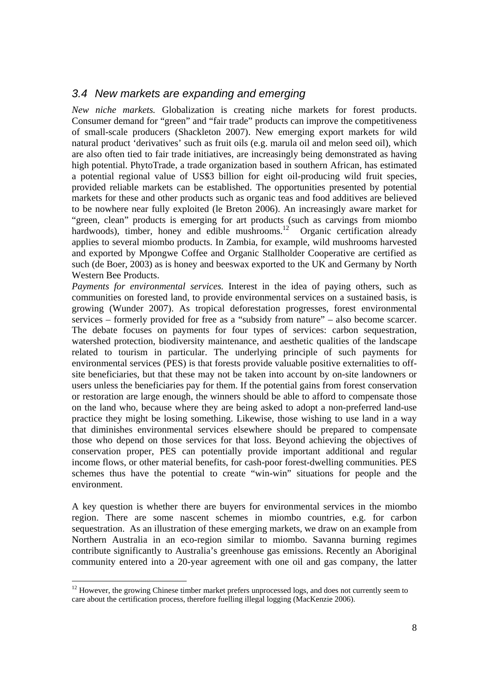#### *3.4 New markets are expanding and emerging*

*New niche markets.* Globalization is creating niche markets for forest products. Consumer demand for "green" and "fair trade" products can improve the competitiveness of small-scale producers (Shackleton 2007). New emerging export markets for wild natural product 'derivatives' such as fruit oils (e.g. marula oil and melon seed oil), which are also often tied to fair trade initiatives, are increasingly being demonstrated as having high potential. PhytoTrade, a trade organization based in southern African, has estimated a potential regional value of US\$3 billion for eight oil-producing wild fruit species, provided reliable markets can be established. The opportunities presented by potential markets for these and other products such as organic teas and food additives are believed to be nowhere near fully exploited (le Breton 2006). An increasingly aware market for "green, clean" products is emerging for art products (such as carvings from miombo hardwoods), timber, honey and edible mushrooms.<sup>12</sup> Organic certification already applies to several miombo products. In Zambia, for example, wild mushrooms harvested and exported by Mpongwe Coffee and Organic Stallholder Cooperative are certified as such (de Boer, 2003) as is honey and beeswax exported to the UK and Germany by North Western Bee Products.

*Payments for environmental services.* Interest in the idea of paying others, such as communities on forested land, to provide environmental services on a sustained basis, is growing (Wunder 2007). As tropical deforestation progresses, forest environmental services – formerly provided for free as a "subsidy from nature" – also become scarcer. The debate focuses on payments for four types of services: carbon sequestration, watershed protection, biodiversity maintenance, and aesthetic qualities of the landscape related to tourism in particular. The underlying principle of such payments for environmental services (PES) is that forests provide valuable positive externalities to offsite beneficiaries, but that these may not be taken into account by on-site landowners or users unless the beneficiaries pay for them. If the potential gains from forest conservation or restoration are large enough, the winners should be able to afford to compensate those on the land who, because where they are being asked to adopt a non-preferred land-use practice they might be losing something. Likewise, those wishing to use land in a way that diminishes environmental services elsewhere should be prepared to compensate those who depend on those services for that loss. Beyond achieving the objectives of conservation proper, PES can potentially provide important additional and regular income flows, or other material benefits, for cash-poor forest-dwelling communities. PES schemes thus have the potential to create "win-win" situations for people and the environment.

A key question is whether there are buyers for environmental services in the miombo region. There are some nascent schemes in miombo countries, e.g. for carbon sequestration. As an illustration of these emerging markets, we draw on an example from Northern Australia in an eco-region similar to miombo. Savanna burning regimes contribute significantly to Australia's greenhouse gas emissions. Recently an Aboriginal community entered into a 20-year agreement with one oil and gas company, the latter

<sup>&</sup>lt;sup>12</sup> However, the growing Chinese timber market prefers unprocessed logs, and does not currently seem to care about the certification process, therefore fuelling illegal logging (MacKenzie 2006).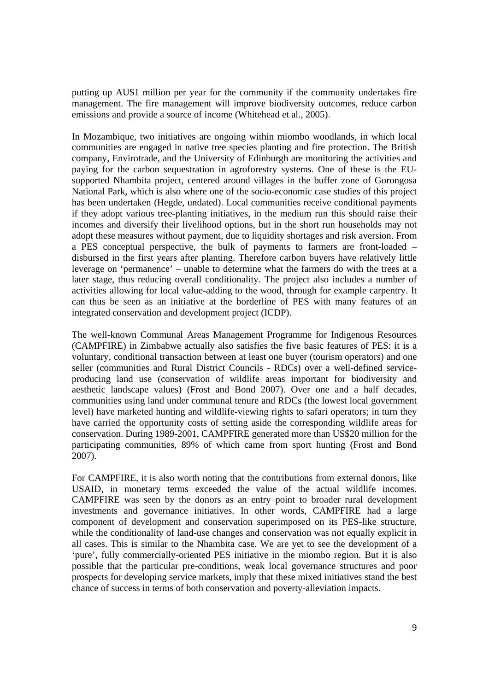putting up AU\$1 million per year for the community if the community undertakes fire management. The fire management will improve biodiversity outcomes, reduce carbon emissions and provide a source of income (Whitehead et al., 2005).

In Mozambique, two initiatives are ongoing within miombo woodlands, in which local communities are engaged in native tree species planting and fire protection. The British company, Envirotrade, and the University of Edinburgh are monitoring the activities and paying for the carbon sequestration in agroforestry systems. One of these is the EUsupported Nhambita project, centered around villages in the buffer zone of Gorongosa National Park, which is also where one of the socio-economic case studies of this project has been undertaken (Hegde, undated). Local communities receive conditional payments if they adopt various tree-planting initiatives, in the medium run this should raise their incomes and diversify their livelihood options, but in the short run households may not adopt these measures without payment, due to liquidity shortages and risk aversion. From a PES conceptual perspective, the bulk of payments to farmers are front-loaded – disbursed in the first years after planting. Therefore carbon buyers have relatively little leverage on 'permanence' – unable to determine what the farmers do with the trees at a later stage, thus reducing overall conditionality. The project also includes a number of activities allowing for local value-adding to the wood, through for example carpentry. It can thus be seen as an initiative at the borderline of PES with many features of an integrated conservation and development project (ICDP).

The well-known Communal Areas Management Programme for Indigenous Resources (CAMPFIRE) in Zimbabwe actually also satisfies the five basic features of PES: it is a voluntary, conditional transaction between at least one buyer (tourism operators) and one seller (communities and Rural District Councils - RDCs) over a well-defined serviceproducing land use (conservation of wildlife areas important for biodiversity and aesthetic landscape values) (Frost and Bond 2007). Over one and a half decades, communities using land under communal tenure and RDCs (the lowest local government level) have marketed hunting and wildlife-viewing rights to safari operators; in turn they have carried the opportunity costs of setting aside the corresponding wildlife areas for conservation. During 1989-2001, CAMPFIRE generated more than US\$20 million for the participating communities, 89% of which came from sport hunting (Frost and Bond 2007).

For CAMPFIRE, it is also worth noting that the contributions from external donors, like USAID, in monetary terms exceeded the value of the actual wildlife incomes. CAMPFIRE was seen by the donors as an entry point to broader rural development investments and governance initiatives. In other words, CAMPFIRE had a large component of development and conservation superimposed on its PES-like structure, while the conditionality of land-use changes and conservation was not equally explicit in all cases. This is similar to the Nhambita case. We are yet to see the development of a 'pure', fully commercially-oriented PES initiative in the miombo region. But it is also possible that the particular pre-conditions, weak local governance structures and poor prospects for developing service markets, imply that these mixed initiatives stand the best chance of success in terms of both conservation and poverty-alleviation impacts.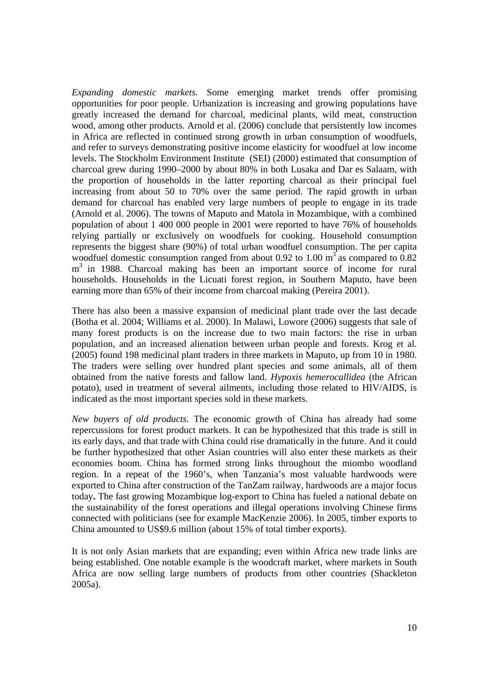*Expanding domestic markets.* Some emerging market trends offer promising opportunities for poor people. Urbanization is increasing and growing populations have greatly increased the demand for charcoal, medicinal plants, wild meat, construction wood, among other products. Arnold et al. (2006) conclude that persistently low incomes in Africa are reflected in continued strong growth in urban consumption of woodfuels, and refer to surveys demonstrating positive income elasticity for woodfuel at low income levels. The Stockholm Environment Institute (SEI) (2000) estimated that consumption of charcoal grew during 1990–2000 by about 80% in both Lusaka and Dar es Salaam, with the proportion of households in the latter reporting charcoal as their principal fuel increasing from about 50 to 70% over the same period. The rapid growth in urban demand for charcoal has enabled very large numbers of people to engage in its trade (Arnold et al. 2006). The towns of Maputo and Matola in Mozambique, with a combined population of about 1 400 000 people in 2001 were reported to have 76% of households relying partially or exclusively on woodfuels for cooking. Household consumption represents the biggest share (90%) of total urban woodfuel consumption. The per capita woodfuel domestic consumption ranged from about 0.92 to 1.00  $\text{m}^3$  as compared to 0.82  $m<sup>3</sup>$  in 1988. Charcoal making has been an important source of income for rural households. Households in the Licuati forest region, in Southern Maputo, have been earning more than 65% of their income from charcoal making (Pereira 2001).

There has also been a massive expansion of medicinal plant trade over the last decade (Botha et al. 2004; Williams et al. 2000). In Malawi, Lowore (2006) suggests that sale of many forest products is on the increase due to two main factors: the rise in urban population, and an increased alienation between urban people and forests. Krog et al. (2005) found 198 medicinal plant traders in three markets in Maputo, up from 10 in 1980. The traders were selling over hundred plant species and some animals, all of them obtained from the native forests and fallow land. *Hypoxis hemerocallidea* (the African potato), used in treatment of several ailments, including those related to HIV/AIDS, is indicated as the most important species sold in these markets.

*New buyers of old products.* The economic growth of China has already had some repercussions for forest product markets. It can be hypothesized that this trade is still in its early days, and that trade with China could rise dramatically in the future. And it could be further hypothesized that other Asian countries will also enter these markets as their economies boom. China has formed strong links throughout the miombo woodland region. In a repeat of the 1960's, when Tanzania's most valuable hardwoods were exported to China after construction of the TanZam railway, hardwoods are a major focus today**.** The fast growing Mozambique log-export to China has fueled a national debate on the sustainability of the forest operations and illegal operations involving Chinese firms connected with politicians (see for example MacKenzie 2006). In 2005, timber exports to China amounted to US\$9.6 million (about 15% of total timber exports).

It is not only Asian markets that are expanding; even within Africa new trade links are being established. One notable example is the woodcraft market, where markets in South Africa are now selling large numbers of products from other countries (Shackleton 2005a).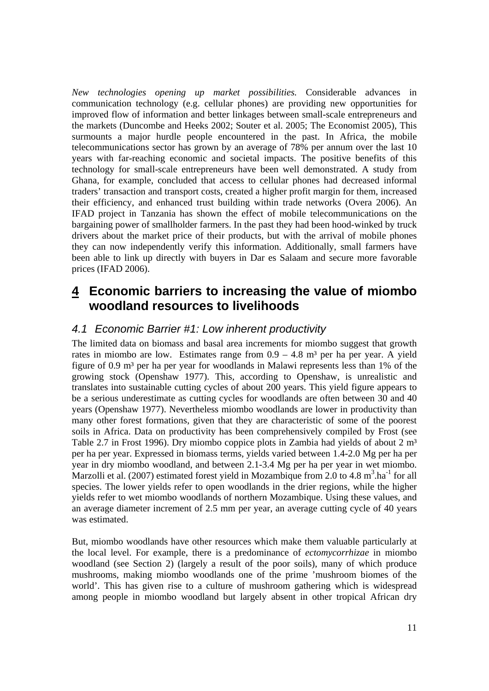*New technologies opening up market possibilities.* Considerable advances in communication technology (e.g. cellular phones) are providing new opportunities for improved flow of information and better linkages between small-scale entrepreneurs and the markets (Duncombe and Heeks 2002; Souter et al. 2005; The Economist 2005), This surmounts a major hurdle people encountered in the past. In Africa, the mobile telecommunications sector has grown by an average of 78% per annum over the last 10 years with far-reaching economic and societal impacts. The positive benefits of this technology for small-scale entrepreneurs have been well demonstrated. A study from Ghana, for example, concluded that access to cellular phones had decreased informal traders' transaction and transport costs, created a higher profit margin for them, increased their efficiency, and enhanced trust building within trade networks (Overa 2006). An IFAD project in Tanzania has shown the effect of mobile telecommunications on the bargaining power of smallholder farmers. In the past they had been hood-winked by truck drivers about the market price of their products, but with the arrival of mobile phones they can now independently verify this information. Additionally, small farmers have been able to link up directly with buyers in Dar es Salaam and secure more favorable prices (IFAD 2006).

## **4 Economic barriers to increasing the value of miombo woodland resources to livelihoods**

#### *4.1 Economic Barrier #1: Low inherent productivity*

The limited data on biomass and basal area increments for miombo suggest that growth rates in miombo are low. Estimates range from  $0.9 - 4.8$  m<sup>3</sup> per ha per year. A yield figure of  $0.9 \text{ m}^3$  per ha per year for woodlands in Malawi represents less than 1% of the growing stock (Openshaw 1977). This, according to Openshaw, is unrealistic and translates into sustainable cutting cycles of about 200 years. This yield figure appears to be a serious underestimate as cutting cycles for woodlands are often between 30 and 40 years (Openshaw 1977). Nevertheless miombo woodlands are lower in productivity than many other forest formations, given that they are characteristic of some of the poorest soils in Africa. Data on productivity has been comprehensively compiled by Frost (see Table 2.7 in Frost 1996). Dry miombo coppice plots in Zambia had yields of about 2 m<sup>3</sup> per ha per year. Expressed in biomass terms, yields varied between 1.4-2.0 Mg per ha per year in dry miombo woodland, and between 2.1-3.4 Mg per ha per year in wet miombo. Marzolli et al. (2007) estimated forest yield in Mozambique from 2.0 to 4.8  $m<sup>3</sup>$ .ha<sup>-1</sup> for all species. The lower yields refer to open woodlands in the drier regions, while the higher yields refer to wet miombo woodlands of northern Mozambique. Using these values, and an average diameter increment of 2.5 mm per year, an average cutting cycle of 40 years was estimated.

But, miombo woodlands have other resources which make them valuable particularly at the local level. For example, there is a predominance of *ectomycorrhizae* in miombo woodland (see Section 2) (largely a result of the poor soils), many of which produce mushrooms, making miombo woodlands one of the prime 'mushroom biomes of the world'. This has given rise to a culture of mushroom gathering which is widespread among people in miombo woodland but largely absent in other tropical African dry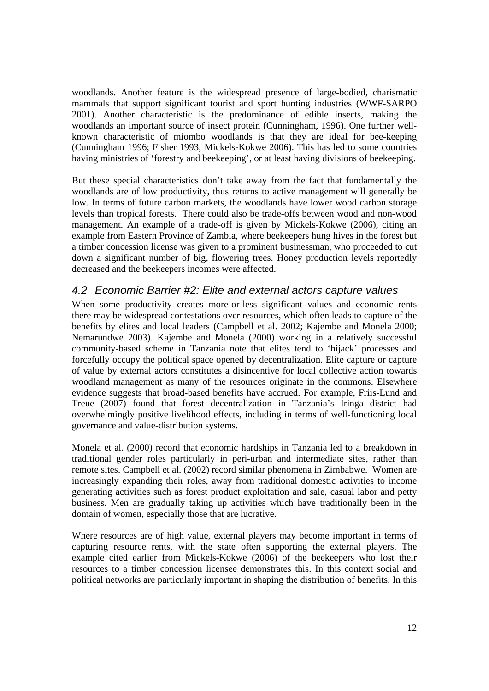woodlands. Another feature is the widespread presence of large-bodied, charismatic mammals that support significant tourist and sport hunting industries (WWF-SARPO 2001). Another characteristic is the predominance of edible insects, making the woodlands an important source of insect protein (Cunningham, 1996). One further wellknown characteristic of miombo woodlands is that they are ideal for bee-keeping (Cunningham 1996; Fisher 1993; Mickels-Kokwe 2006). This has led to some countries having ministries of 'forestry and beekeeping', or at least having divisions of beekeeping.

But these special characteristics don't take away from the fact that fundamentally the woodlands are of low productivity, thus returns to active management will generally be low. In terms of future carbon markets, the woodlands have lower wood carbon storage levels than tropical forests. There could also be trade-offs between wood and non-wood management. An example of a trade-off is given by Mickels-Kokwe (2006), citing an example from Eastern Province of Zambia, where beekeepers hung hives in the forest but a timber concession license was given to a prominent businessman, who proceeded to cut down a significant number of big, flowering trees. Honey production levels reportedly decreased and the beekeepers incomes were affected.

#### *4.2 Economic Barrier #2: Elite and external actors capture values*

When some productivity creates more-or-less significant values and economic rents there may be widespread contestations over resources, which often leads to capture of the benefits by elites and local leaders (Campbell et al. 2002; Kajembe and Monela 2000; Nemarundwe 2003). Kajembe and Monela (2000) working in a relatively successful community-based scheme in Tanzania note that elites tend to 'hijack' processes and forcefully occupy the political space opened by decentralization. Elite capture or capture of value by external actors constitutes a disincentive for local collective action towards woodland management as many of the resources originate in the commons. Elsewhere evidence suggests that broad-based benefits have accrued. For example, Friis-Lund and Treue (2007) found that forest decentralization in Tanzania's Iringa district had overwhelmingly positive livelihood effects, including in terms of well-functioning local governance and value-distribution systems.

Monela et al. (2000) record that economic hardships in Tanzania led to a breakdown in traditional gender roles particularly in peri-urban and intermediate sites, rather than remote sites. Campbell et al. (2002) record similar phenomena in Zimbabwe. Women are increasingly expanding their roles, away from traditional domestic activities to income generating activities such as forest product exploitation and sale, casual labor and petty business. Men are gradually taking up activities which have traditionally been in the domain of women, especially those that are lucrative.

Where resources are of high value, external players may become important in terms of capturing resource rents, with the state often supporting the external players. The example cited earlier from Mickels-Kokwe (2006) of the beekeepers who lost their resources to a timber concession licensee demonstrates this. In this context social and political networks are particularly important in shaping the distribution of benefits. In this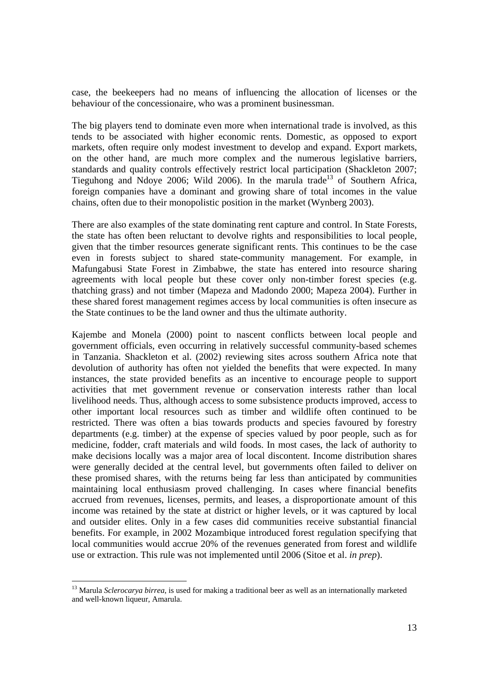case, the beekeepers had no means of influencing the allocation of licenses or the behaviour of the concessionaire, who was a prominent businessman.

The big players tend to dominate even more when international trade is involved, as this tends to be associated with higher economic rents. Domestic, as opposed to export markets, often require only modest investment to develop and expand. Export markets, on the other hand, are much more complex and the numerous legislative barriers, standards and quality controls effectively restrict local participation (Shackleton 2007; Tieguhong and Ndoye 2006; Wild 2006). In the marula trade<sup>13</sup> of Southern Africa, foreign companies have a dominant and growing share of total incomes in the value chains, often due to their monopolistic position in the market (Wynberg 2003).

There are also examples of the state dominating rent capture and control. In State Forests, the state has often been reluctant to devolve rights and responsibilities to local people, given that the timber resources generate significant rents. This continues to be the case even in forests subject to shared state-community management. For example, in Mafungabusi State Forest in Zimbabwe, the state has entered into resource sharing agreements with local people but these cover only non-timber forest species (e.g. thatching grass) and not timber (Mapeza and Madondo 2000; Mapeza 2004). Further in these shared forest management regimes access by local communities is often insecure as the State continues to be the land owner and thus the ultimate authority.

Kajembe and Monela (2000) point to nascent conflicts between local people and government officials, even occurring in relatively successful community-based schemes in Tanzania. Shackleton et al. (2002) reviewing sites across southern Africa note that devolution of authority has often not yielded the benefits that were expected. In many instances, the state provided benefits as an incentive to encourage people to support activities that met government revenue or conservation interests rather than local livelihood needs. Thus, although access to some subsistence products improved, access to other important local resources such as timber and wildlife often continued to be restricted. There was often a bias towards products and species favoured by forestry departments (e.g. timber) at the expense of species valued by poor people, such as for medicine, fodder, craft materials and wild foods. In most cases, the lack of authority to make decisions locally was a major area of local discontent. Income distribution shares were generally decided at the central level, but governments often failed to deliver on these promised shares, with the returns being far less than anticipated by communities maintaining local enthusiasm proved challenging. In cases where financial benefits accrued from revenues, licenses, permits, and leases, a disproportionate amount of this income was retained by the state at district or higher levels, or it was captured by local and outsider elites. Only in a few cases did communities receive substantial financial benefits. For example, in 2002 Mozambique introduced forest regulation specifying that local communities would accrue 20% of the revenues generated from forest and wildlife use or extraction. This rule was not implemented until 2006 (Sitoe et al. *in prep*).

<sup>&</sup>lt;sup>13</sup> Marula *Sclerocarya birrea*, is used for making a traditional beer as well as an internationally marketed and well-known liqueur, Amarula.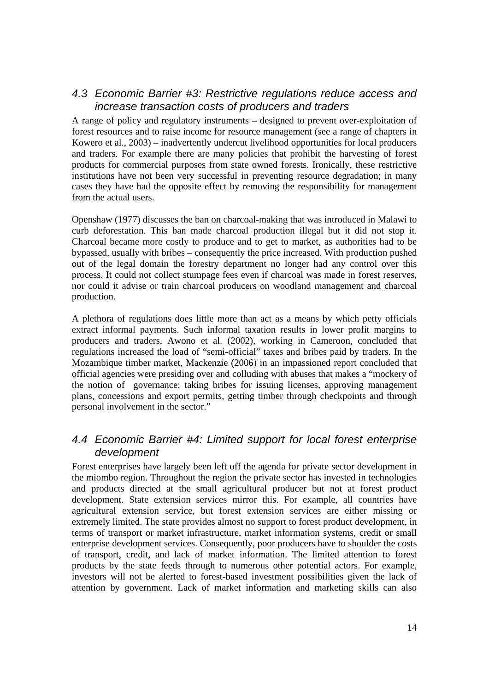#### *4.3 Economic Barrier #3: Restrictive regulations reduce access and increase transaction costs of producers and traders*

A range of policy and regulatory instruments – designed to prevent over-exploitation of forest resources and to raise income for resource management (see a range of chapters in Kowero et al., 2003) – inadvertently undercut livelihood opportunities for local producers and traders. For example there are many policies that prohibit the harvesting of forest products for commercial purposes from state owned forests. Ironically, these restrictive institutions have not been very successful in preventing resource degradation; in many cases they have had the opposite effect by removing the responsibility for management from the actual users.

Openshaw (1977) discusses the ban on charcoal-making that was introduced in Malawi to curb deforestation. This ban made charcoal production illegal but it did not stop it. Charcoal became more costly to produce and to get to market, as authorities had to be bypassed, usually with bribes – consequently the price increased. With production pushed out of the legal domain the forestry department no longer had any control over this process. It could not collect stumpage fees even if charcoal was made in forest reserves, nor could it advise or train charcoal producers on woodland management and charcoal production.

A plethora of regulations does little more than act as a means by which petty officials extract informal payments. Such informal taxation results in lower profit margins to producers and traders. Awono et al. (2002), working in Cameroon, concluded that regulations increased the load of "semi-official" taxes and bribes paid by traders. In the Mozambique timber market, Mackenzie (2006) in an impassioned report concluded that official agencies were presiding over and colluding with abuses that makes a "mockery of the notion of governance: taking bribes for issuing licenses, approving management plans, concessions and export permits, getting timber through checkpoints and through personal involvement in the sector."

#### *4.4 Economic Barrier #4: Limited support for local forest enterprise development*

Forest enterprises have largely been left off the agenda for private sector development in the miombo region. Throughout the region the private sector has invested in technologies and products directed at the small agricultural producer but not at forest product development. State extension services mirror this. For example, all countries have agricultural extension service, but forest extension services are either missing or extremely limited. The state provides almost no support to forest product development, in terms of transport or market infrastructure, market information systems, credit or small enterprise development services. Consequently, poor producers have to shoulder the costs of transport, credit, and lack of market information. The limited attention to forest products by the state feeds through to numerous other potential actors. For example, investors will not be alerted to forest-based investment possibilities given the lack of attention by government. Lack of market information and marketing skills can also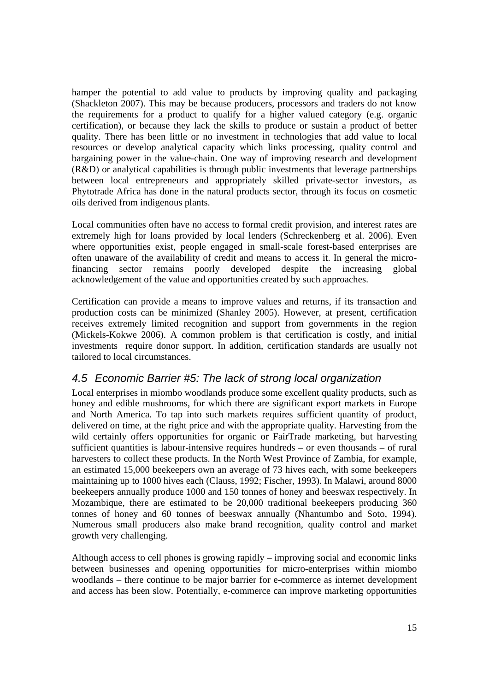hamper the potential to add value to products by improving quality and packaging (Shackleton 2007). This may be because producers, processors and traders do not know the requirements for a product to qualify for a higher valued category (e.g. organic certification), or because they lack the skills to produce or sustain a product of better quality. There has been little or no investment in technologies that add value to local resources or develop analytical capacity which links processing, quality control and bargaining power in the value-chain. One way of improving research and development (R&D) or analytical capabilities is through public investments that leverage partnerships between local entrepreneurs and appropriately skilled private-sector investors, as Phytotrade Africa has done in the natural products sector, through its focus on cosmetic oils derived from indigenous plants.

Local communities often have no access to formal credit provision, and interest rates are extremely high for loans provided by local lenders (Schreckenberg et al. 2006). Even where opportunities exist, people engaged in small-scale forest-based enterprises are often unaware of the availability of credit and means to access it. In general the microfinancing sector remains poorly developed despite the increasing global acknowledgement of the value and opportunities created by such approaches.

Certification can provide a means to improve values and returns, if its transaction and production costs can be minimized (Shanley 2005). However, at present, certification receives extremely limited recognition and support from governments in the region (Mickels-Kokwe 2006). A common problem is that certification is costly, and initial investments require donor support. In addition, certification standards are usually not tailored to local circumstances.

#### *4.5 Economic Barrier #5: The lack of strong local organization*

Local enterprises in miombo woodlands produce some excellent quality products, such as honey and edible mushrooms, for which there are significant export markets in Europe and North America. To tap into such markets requires sufficient quantity of product, delivered on time, at the right price and with the appropriate quality. Harvesting from the wild certainly offers opportunities for organic or FairTrade marketing, but harvesting sufficient quantities is labour-intensive requires hundreds – or even thousands – of rural harvesters to collect these products. In the North West Province of Zambia, for example, an estimated 15,000 beekeepers own an average of 73 hives each, with some beekeepers maintaining up to 1000 hives each (Clauss, 1992; Fischer, 1993). In Malawi, around 8000 beekeepers annually produce 1000 and 150 tonnes of honey and beeswax respectively. In Mozambique, there are estimated to be 20,000 traditional beekeepers producing 360 tonnes of honey and 60 tonnes of beeswax annually (Nhantumbo and Soto, 1994). Numerous small producers also make brand recognition, quality control and market growth very challenging.

Although access to cell phones is growing rapidly – improving social and economic links between businesses and opening opportunities for micro-enterprises within miombo woodlands – there continue to be major barrier for e-commerce as internet development and access has been slow. Potentially, e-commerce can improve marketing opportunities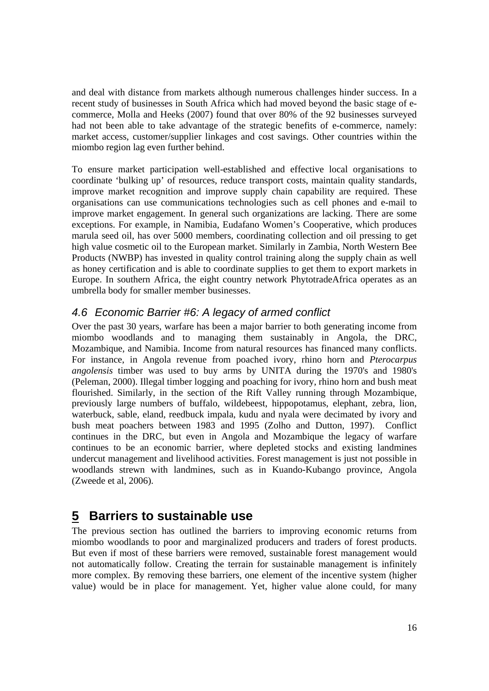and deal with distance from markets although numerous challenges hinder success. In a recent study of businesses in South Africa which had moved beyond the basic stage of ecommerce, Molla and Heeks (2007) found that over 80% of the 92 businesses surveyed had not been able to take advantage of the strategic benefits of e-commerce, namely: market access, customer/supplier linkages and cost savings. Other countries within the miombo region lag even further behind.

To ensure market participation well-established and effective local organisations to coordinate 'bulking up' of resources, reduce transport costs, maintain quality standards, improve market recognition and improve supply chain capability are required. These organisations can use communications technologies such as cell phones and e-mail to improve market engagement. In general such organizations are lacking. There are some exceptions. For example, in Namibia, Eudafano Women's Cooperative, which produces marula seed oil, has over 5000 members, coordinating collection and oil pressing to get high value cosmetic oil to the European market. Similarly in Zambia, North Western Bee Products (NWBP) has invested in quality control training along the supply chain as well as honey certification and is able to coordinate supplies to get them to export markets in Europe. In southern Africa, the eight country network PhytotradeAfrica operates as an umbrella body for smaller member businesses.

#### *4.6 Economic Barrier #6: A legacy of armed conflict*

Over the past 30 years, warfare has been a major barrier to both generating income from miombo woodlands and to managing them sustainably in Angola, the DRC, Mozambique, and Namibia. Income from natural resources has financed many conflicts. For instance, in Angola revenue from poached ivory, rhino horn and *Pterocarpus angolensis* timber was used to buy arms by UNITA during the 1970's and 1980's (Peleman, 2000). Illegal timber logging and poaching for ivory, rhino horn and bush meat flourished. Similarly, in the section of the Rift Valley running through Mozambique, previously large numbers of buffalo, wildebeest, hippopotamus, elephant, zebra, lion, waterbuck, sable, eland, reedbuck impala, kudu and nyala were decimated by ivory and bush meat poachers between 1983 and 1995 (Zolho and Dutton, 1997). Conflict continues in the DRC, but even in Angola and Mozambique the legacy of warfare continues to be an economic barrier, where depleted stocks and existing landmines undercut management and livelihood activities. Forest management is just not possible in woodlands strewn with landmines, such as in Kuando-Kubango province, Angola (Zweede et al, 2006).

## **5 Barriers to sustainable use**

The previous section has outlined the barriers to improving economic returns from miombo woodlands to poor and marginalized producers and traders of forest products. But even if most of these barriers were removed, sustainable forest management would not automatically follow. Creating the terrain for sustainable management is infinitely more complex. By removing these barriers, one element of the incentive system (higher value) would be in place for management. Yet, higher value alone could, for many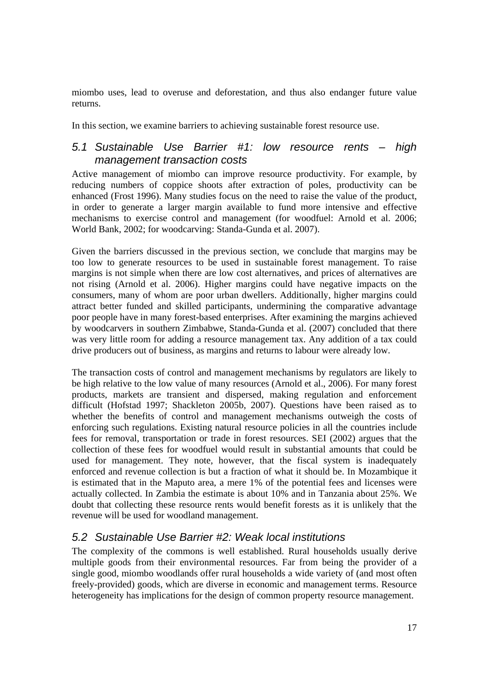miombo uses, lead to overuse and deforestation, and thus also endanger future value returns.

In this section, we examine barriers to achieving sustainable forest resource use.

#### *5.1 Sustainable Use Barrier #1: low resource rents – high management transaction costs*

Active management of miombo can improve resource productivity. For example, by reducing numbers of coppice shoots after extraction of poles, productivity can be enhanced (Frost 1996). Many studies focus on the need to raise the value of the product, in order to generate a larger margin available to fund more intensive and effective mechanisms to exercise control and management (for woodfuel: Arnold et al. 2006; World Bank, 2002; for woodcarving: Standa-Gunda et al. 2007).

Given the barriers discussed in the previous section, we conclude that margins may be too low to generate resources to be used in sustainable forest management. To raise margins is not simple when there are low cost alternatives, and prices of alternatives are not rising (Arnold et al. 2006). Higher margins could have negative impacts on the consumers, many of whom are poor urban dwellers. Additionally, higher margins could attract better funded and skilled participants, undermining the comparative advantage poor people have in many forest-based enterprises. After examining the margins achieved by woodcarvers in southern Zimbabwe, Standa-Gunda et al. (2007) concluded that there was very little room for adding a resource management tax. Any addition of a tax could drive producers out of business, as margins and returns to labour were already low.

The transaction costs of control and management mechanisms by regulators are likely to be high relative to the low value of many resources (Arnold et al., 2006). For many forest products, markets are transient and dispersed, making regulation and enforcement difficult (Hofstad 1997; Shackleton 2005b, 2007). Questions have been raised as to whether the benefits of control and management mechanisms outweigh the costs of enforcing such regulations. Existing natural resource policies in all the countries include fees for removal, transportation or trade in forest resources. SEI (2002) argues that the collection of these fees for woodfuel would result in substantial amounts that could be used for management. They note, however, that the fiscal system is inadequately enforced and revenue collection is but a fraction of what it should be. In Mozambique it is estimated that in the Maputo area, a mere 1% of the potential fees and licenses were actually collected. In Zambia the estimate is about 10% and in Tanzania about 25%. We doubt that collecting these resource rents would benefit forests as it is unlikely that the revenue will be used for woodland management.

#### *5.2 Sustainable Use Barrier #2: Weak local institutions*

The complexity of the commons is well established. Rural households usually derive multiple goods from their environmental resources. Far from being the provider of a single good, miombo woodlands offer rural households a wide variety of (and most often freely-provided) goods, which are diverse in economic and management terms. Resource heterogeneity has implications for the design of common property resource management.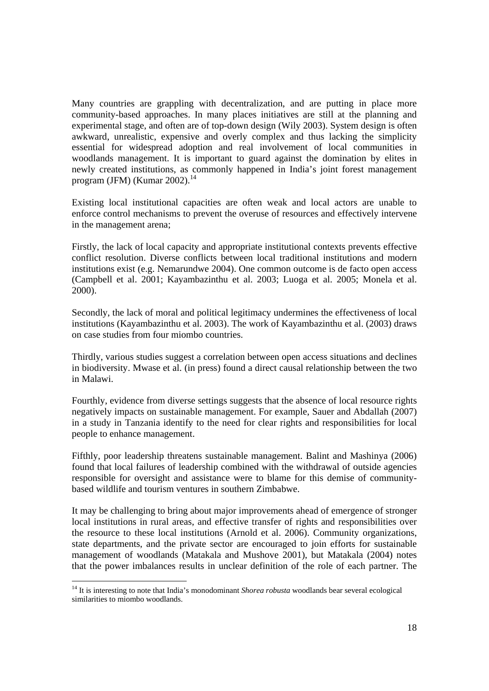Many countries are grappling with decentralization, and are putting in place more community-based approaches. In many places initiatives are still at the planning and experimental stage, and often are of top-down design (Wily 2003). System design is often awkward, unrealistic, expensive and overly complex and thus lacking the simplicity essential for widespread adoption and real involvement of local communities in woodlands management. It is important to guard against the domination by elites in newly created institutions, as commonly happened in India's joint forest management program (JFM) (Kumar 2002).<sup>14</sup>

Existing local institutional capacities are often weak and local actors are unable to enforce control mechanisms to prevent the overuse of resources and effectively intervene in the management arena;

Firstly, the lack of local capacity and appropriate institutional contexts prevents effective conflict resolution. Diverse conflicts between local traditional institutions and modern institutions exist (e.g. Nemarundwe 2004). One common outcome is de facto open access (Campbell et al. 2001; Kayambazinthu et al. 2003; Luoga et al. 2005; Monela et al. 2000).

Secondly, the lack of moral and political legitimacy undermines the effectiveness of local institutions (Kayambazinthu et al. 2003). The work of Kayambazinthu et al. (2003) draws on case studies from four miombo countries.

Thirdly, various studies suggest a correlation between open access situations and declines in biodiversity. Mwase et al. (in press) found a direct causal relationship between the two in Malawi.

Fourthly, evidence from diverse settings suggests that the absence of local resource rights negatively impacts on sustainable management. For example, Sauer and Abdallah (2007) in a study in Tanzania identify to the need for clear rights and responsibilities for local people to enhance management.

Fifthly, poor leadership threatens sustainable management. Balint and Mashinya (2006) found that local failures of leadership combined with the withdrawal of outside agencies responsible for oversight and assistance were to blame for this demise of communitybased wildlife and tourism ventures in southern Zimbabwe.

It may be challenging to bring about major improvements ahead of emergence of stronger local institutions in rural areas, and effective transfer of rights and responsibilities over the resource to these local institutions (Arnold et al. 2006). Community organizations, state departments, and the private sector are encouraged to join efforts for sustainable management of woodlands (Matakala and Mushove 2001), but Matakala (2004) notes that the power imbalances results in unclear definition of the role of each partner. The

<sup>&</sup>lt;sup>14</sup> It is interesting to note that India's monodominant *Shorea robusta* woodlands bear several ecological similarities to miombo woodlands.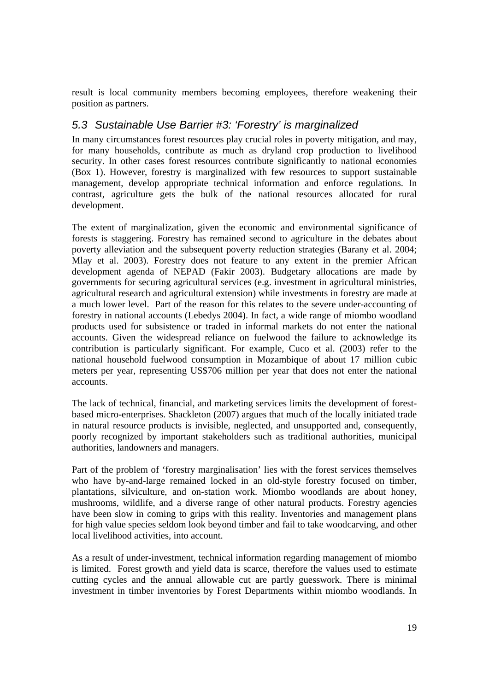result is local community members becoming employees, therefore weakening their position as partners.

#### *5.3 Sustainable Use Barrier #3: 'Forestry' is marginalized*

In many circumstances forest resources play crucial roles in poverty mitigation, and may, for many households, contribute as much as dryland crop production to livelihood security. In other cases forest resources contribute significantly to national economies (Box 1). However, forestry is marginalized with few resources to support sustainable management, develop appropriate technical information and enforce regulations. In contrast, agriculture gets the bulk of the national resources allocated for rural development.

The extent of marginalization, given the economic and environmental significance of forests is staggering. Forestry has remained second to agriculture in the debates about poverty alleviation and the subsequent poverty reduction strategies (Barany et al. 2004; Mlay et al. 2003). Forestry does not feature to any extent in the premier African development agenda of NEPAD (Fakir 2003). Budgetary allocations are made by governments for securing agricultural services (e.g. investment in agricultural ministries, agricultural research and agricultural extension) while investments in forestry are made at a much lower level. Part of the reason for this relates to the severe under-accounting of forestry in national accounts (Lebedys 2004). In fact, a wide range of miombo woodland products used for subsistence or traded in informal markets do not enter the national accounts. Given the widespread reliance on fuelwood the failure to acknowledge its contribution is particularly significant. For example, Cuco et al. (2003) refer to the national household fuelwood consumption in Mozambique of about 17 million cubic meters per year, representing US\$706 million per year that does not enter the national accounts.

The lack of technical, financial, and marketing services limits the development of forestbased micro-enterprises. Shackleton (2007) argues that much of the locally initiated trade in natural resource products is invisible, neglected, and unsupported and, consequently, poorly recognized by important stakeholders such as traditional authorities, municipal authorities, landowners and managers.

Part of the problem of 'forestry marginalisation' lies with the forest services themselves who have by-and-large remained locked in an old-style forestry focused on timber, plantations, silviculture, and on-station work. Miombo woodlands are about honey, mushrooms, wildlife, and a diverse range of other natural products. Forestry agencies have been slow in coming to grips with this reality. Inventories and management plans for high value species seldom look beyond timber and fail to take woodcarving, and other local livelihood activities, into account.

As a result of under-investment, technical information regarding management of miombo is limited. Forest growth and yield data is scarce, therefore the values used to estimate cutting cycles and the annual allowable cut are partly guesswork. There is minimal investment in timber inventories by Forest Departments within miombo woodlands. In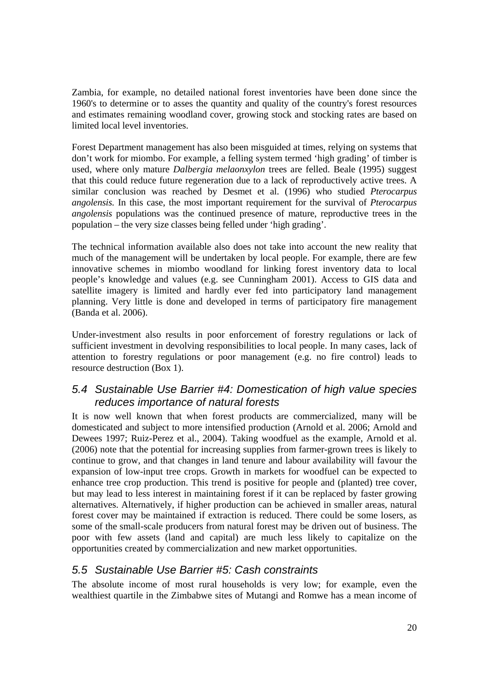Zambia, for example, no detailed national forest inventories have been done since the 1960's to determine or to asses the quantity and quality of the country's forest resources and estimates remaining woodland cover, growing stock and stocking rates are based on limited local level inventories.

Forest Department management has also been misguided at times, relying on systems that don't work for miombo. For example, a felling system termed 'high grading' of timber is used, where only mature *Dalbergia melaonxylon* trees are felled. Beale (1995) suggest that this could reduce future regeneration due to a lack of reproductively active trees. A similar conclusion was reached by Desmet et al. (1996) who studied *Pterocarpus angolensis.* In this case, the most important requirement for the survival of *Pterocarpus angolensis* populations was the continued presence of mature, reproductive trees in the population – the very size classes being felled under 'high grading'.

The technical information available also does not take into account the new reality that much of the management will be undertaken by local people. For example, there are few innovative schemes in miombo woodland for linking forest inventory data to local people's knowledge and values (e.g. see Cunningham 2001). Access to GIS data and satellite imagery is limited and hardly ever fed into participatory land management planning. Very little is done and developed in terms of participatory fire management (Banda et al. 2006).

Under-investment also results in poor enforcement of forestry regulations or lack of sufficient investment in devolving responsibilities to local people. In many cases, lack of attention to forestry regulations or poor management (e.g. no fire control) leads to resource destruction (Box 1).

#### *5.4 Sustainable Use Barrier #4: Domestication of high value species reduces importance of natural forests*

It is now well known that when forest products are commercialized, many will be domesticated and subject to more intensified production (Arnold et al. 2006; Arnold and Dewees 1997; Ruiz-Perez et al., 2004). Taking woodfuel as the example, Arnold et al. (2006) note that the potential for increasing supplies from farmer-grown trees is likely to continue to grow, and that changes in land tenure and labour availability will favour the expansion of low-input tree crops. Growth in markets for woodfuel can be expected to enhance tree crop production. This trend is positive for people and (planted) tree cover, but may lead to less interest in maintaining forest if it can be replaced by faster growing alternatives. Alternatively, if higher production can be achieved in smaller areas, natural forest cover may be maintained if extraction is reduced. There could be some losers, as some of the small-scale producers from natural forest may be driven out of business. The poor with few assets (land and capital) are much less likely to capitalize on the opportunities created by commercialization and new market opportunities.

### *5.5 Sustainable Use Barrier #5: Cash constraints*

The absolute income of most rural households is very low; for example, even the wealthiest quartile in the Zimbabwe sites of Mutangi and Romwe has a mean income of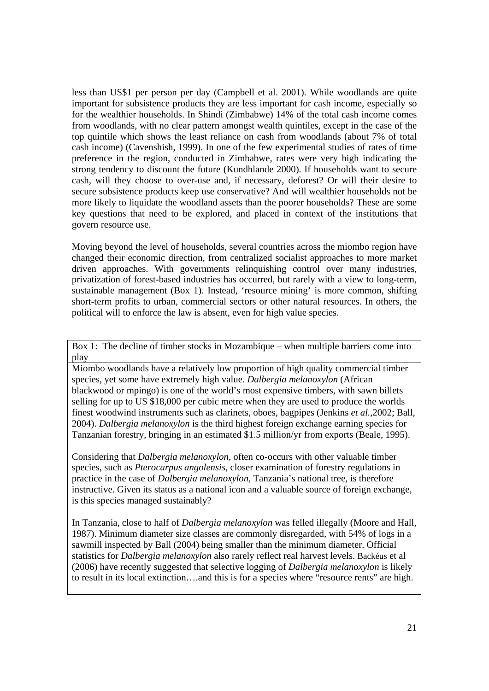less than US\$1 per person per day (Campbell et al. 2001). While woodlands are quite important for subsistence products they are less important for cash income, especially so for the wealthier households. In Shindi (Zimbabwe) 14% of the total cash income comes from woodlands, with no clear pattern amongst wealth quintiles, except in the case of the top quintile which shows the least reliance on cash from woodlands (about 7% of total cash income) (Cavenshish, 1999). In one of the few experimental studies of rates of time preference in the region, conducted in Zimbabwe, rates were very high indicating the strong tendency to discount the future (Kundhlande 2000). If households want to secure cash, will they choose to over-use and, if necessary, deforest? Or will their desire to secure subsistence products keep use conservative? And will wealthier households not be more likely to liquidate the woodland assets than the poorer households? These are some key questions that need to be explored, and placed in context of the institutions that govern resource use.

Moving beyond the level of households, several countries across the miombo region have changed their economic direction, from centralized socialist approaches to more market driven approaches. With governments relinquishing control over many industries, privatization of forest-based industries has occurred, but rarely with a view to long-term, sustainable management (Box 1). Instead, 'resource mining' is more common, shifting short-term profits to urban, commercial sectors or other natural resources. In others, the political will to enforce the law is absent, even for high value species.

Box 1: The decline of timber stocks in Mozambique – when multiple barriers come into play

Miombo woodlands have a relatively low proportion of high quality commercial timber species, yet some have extremely high value. *Dalbergia melanoxylon* (African blackwood or mpingo) is one of the world's most expensive timbers, with sawn billets selling for up to US \$18,000 per cubic metre when they are used to produce the worlds finest woodwind instruments such as clarinets, oboes, bagpipes (Jenkins *et al.*,2002; Ball, 2004). *Dalbergia melanoxylon* is the third highest foreign exchange earning species for Tanzanian forestry, bringing in an estimated \$1.5 million/yr from exports (Beale, 1995).

Considering that *Dalbergia melanoxylon,* often co-occurs with other valuable timber species, such as *Pterocarpus angolensis*, closer examination of forestry regulations in practice in the case of *Dalbergia melanoxylon*, Tanzania's national tree, is therefore instructive. Given its status as a national icon and a valuable source of foreign exchange, is this species managed sustainably?

In Tanzania, close to half of *Dalbergia melanoxylon* was felled illegally (Moore and Hall, 1987). Minimum diameter size classes are commonly disregarded, with 54% of logs in a sawmill inspected by Ball (2004) being smaller than the minimum diameter. Official statistics for *Dalbergia melanoxylon* also rarely reflect real harvest levels. Backéus et al (2006) have recently suggested that selective logging of *Dalbergia melanoxylon* is likely to result in its local extinction….and this is for a species where "resource rents" are high.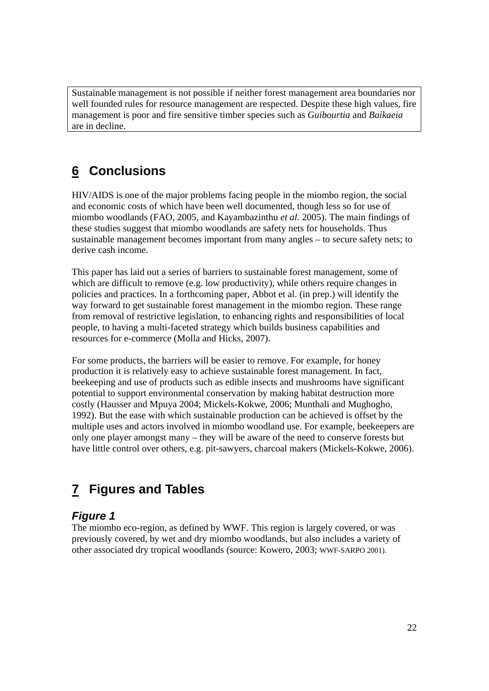Sustainable management is not possible if neither forest management area boundaries nor well founded rules for resource management are respected. Despite these high values, fire management is poor and fire sensitive timber species such as *Guibourtia* and *Baikaeia* are in decline.

# **6 Conclusions**

HIV/AIDS is one of the major problems facing people in the miombo region, the social and economic costs of which have been well documented, though less so for use of miombo woodlands (FAO, 2005, and Kayambazinthu *et al.* 2005). The main findings of these studies suggest that miombo woodlands are safety nets for households. Thus sustainable management becomes important from many angles – to secure safety nets; to derive cash income.

This paper has laid out a series of barriers to sustainable forest management, some of which are difficult to remove (e.g. low productivity), while others require changes in policies and practices. In a forthcoming paper, Abbot et al. (in prep.) will identify the way forward to get sustainable forest management in the miombo region. These range from removal of restrictive legislation, to enhancing rights and responsibilities of local people, to having a multi-faceted strategy which builds business capabilities and resources for e-commerce (Molla and Hicks, 2007).

For some products, the barriers will be easier to remove. For example, for honey production it is relatively easy to achieve sustainable forest management. In fact, beekeeping and use of products such as edible insects and mushrooms have significant potential to support environmental conservation by making habitat destruction more costly (Hausser and Mpuya 2004; Mickels-Kokwe, 2006; Munthali and Mughogho, 1992). But the ease with which sustainable production can be achieved is offset by the multiple uses and actors involved in miombo woodland use. For example, beekeepers are only one player amongst many – they will be aware of the need to conserve forests but have little control over others, e.g. pit-sawyers, charcoal makers (Mickels-Kokwe, 2006).

# **7 Figures and Tables**

### *Figure 1*

The miombo eco-region, as defined by WWF. This region is largely covered, or was previously covered, by wet and dry miombo woodlands, but also includes a variety of other associated dry tropical woodlands (source: Kowero, 2003; WWF-SARPO 2001).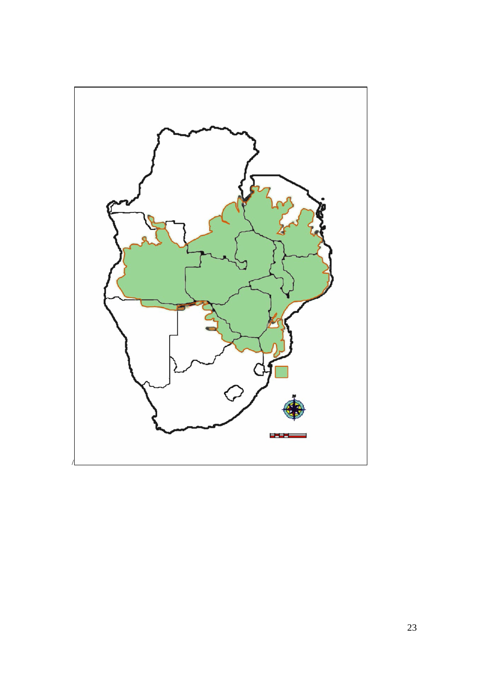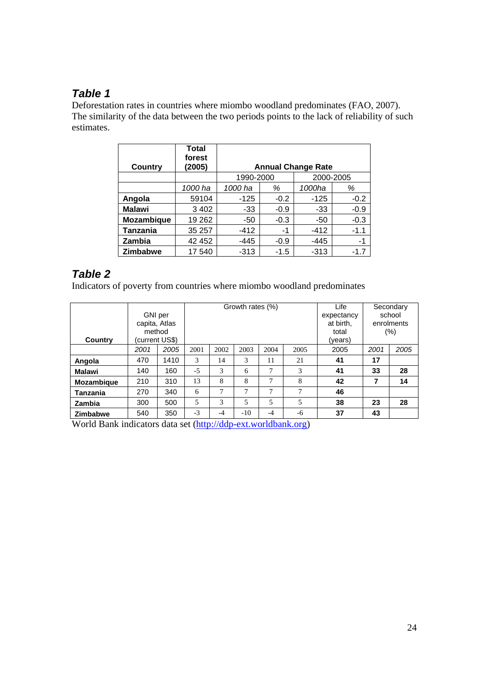### *Table 1*

Deforestation rates in countries where miombo woodland predominates (FAO, 2007). The similarity of the data between the two periods points to the lack of reliability of such estimates.

| Country           | <b>Total</b><br>forest<br>(2005) | <b>Annual Change Rate</b> |        |           |        |  |  |
|-------------------|----------------------------------|---------------------------|--------|-----------|--------|--|--|
|                   |                                  | 1990-2000                 |        | 2000-2005 |        |  |  |
|                   | 1000 ha                          | 1000 ha                   | %      | 1000ha    | %      |  |  |
| Angola            | 59104                            | $-125$                    | $-0.2$ | $-125$    | $-0.2$ |  |  |
| <b>Malawi</b>     | 3 4 0 2                          | $-33$                     | $-0.9$ | -33       | $-0.9$ |  |  |
| <b>Mozambique</b> | 19 262                           | -50                       | $-0.3$ | -50       | $-0.3$ |  |  |
| Tanzania          | 35 257                           | $-412$                    | -1     | $-412$    | $-1.1$ |  |  |
| Zambia            | 42 452                           | $-445$                    | $-0.9$ | -445      | -1     |  |  |
| Zimbabwe          | 17 540                           | $-313$                    | $-1.5$ | $-313$    | $-1.7$ |  |  |

### *Table 2*

Indicators of poverty from countries where miombo woodland predominates

| Country           | <b>GNI</b> per<br>capita, Atlas<br>method<br>(current US\$) |      | Growth rates (%) |      |      |      |      | Life<br>expectancy<br>at birth.<br>total<br>(years) | Secondary<br>school<br>enrolments<br>$(\% )$ |      |
|-------------------|-------------------------------------------------------------|------|------------------|------|------|------|------|-----------------------------------------------------|----------------------------------------------|------|
|                   | 2001                                                        | 2005 | 2001             | 2002 | 2003 | 2004 | 2005 | 2005                                                | 2001                                         | 2005 |
| Angola            | 470                                                         | 1410 | 3                | 14   | 3    | 11   | 21   | 41                                                  | 17                                           |      |
| <b>Malawi</b>     | 140                                                         | 160  | $-5$             | 3    | 6    | 7    | 3    | 41                                                  | 33                                           | 28   |
| <b>Mozambique</b> | 210                                                         | 310  | 13               | 8    | 8    | 7    | 8    | 42                                                  | 7                                            | 14   |
| Tanzania          | 270                                                         | 340  | 6                | 7    | 7    | 7    | 7    | 46                                                  |                                              |      |
| Zambia            | 300                                                         | 500  | 5                | 3    | 5    | 5    | 5    | 38                                                  | 23                                           | 28   |
| <b>Zimbabwe</b>   | 540                                                         | 350  | $-3$             | $-4$ | -10  | $-4$ | -6   | 37                                                  | 43                                           |      |

World Bank indicators data set (http://ddp-ext.worldbank.org)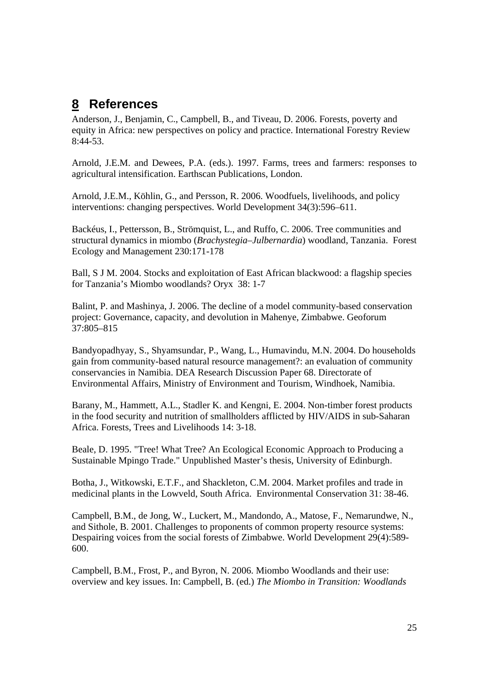## **8 References**

Anderson, J., Benjamin, C., Campbell, B., and Tiveau, D. 2006. Forests, poverty and equity in Africa: new perspectives on policy and practice. International Forestry Review 8:44-53.

Arnold, J.E.M. and Dewees, P.A. (eds.). 1997. Farms, trees and farmers: responses to agricultural intensification. Earthscan Publications, London.

Arnold, J.E.M., Köhlin, G., and Persson, R. 2006. Woodfuels, livelihoods, and policy interventions: changing perspectives. World Development 34(3):596–611.

Backéus, I., Pettersson, B., Strömquist, L., and Ruffo, C. 2006. Tree communities and structural dynamics in miombo (*Brachystegia*–*Julbernardia*) woodland, Tanzania. Forest Ecology and Management 230:171-178

Ball, S J M. 2004. Stocks and exploitation of East African blackwood: a flagship species for Tanzania's Miombo woodlands? Oryx 38: 1-7

Balint, P. and Mashinya, J. 2006. The decline of a model community-based conservation project: Governance, capacity, and devolution in Mahenye, Zimbabwe. Geoforum 37:805–815

Bandyopadhyay, S., Shyamsundar, P., Wang, L., Humavindu, M.N. 2004. Do households gain from community-based natural resource management?: an evaluation of community conservancies in Namibia. DEA Research Discussion Paper 68. Directorate of Environmental Affairs, Ministry of Environment and Tourism, Windhoek, Namibia.

Barany, M., Hammett, A.L., Stadler K. and Kengni, E. 2004. Non-timber forest products in the food security and nutrition of smallholders afflicted by HIV/AIDS in sub-Saharan Africa. Forests, Trees and Livelihoods 14: 3-18.

Beale, D. 1995. "Tree! What Tree? An Ecological Economic Approach to Producing a Sustainable Mpingo Trade." Unpublished Master's thesis, University of Edinburgh.

Botha, J., Witkowski, E.T.F., and Shackleton, C.M. 2004. Market profiles and trade in medicinal plants in the Lowveld, South Africa. Environmental Conservation 31: 38-46.

Campbell, B.M., de Jong, W., Luckert, M., Mandondo, A., Matose, F., Nemarundwe, N., and Sithole, B. 2001. Challenges to proponents of common property resource systems: Despairing voices from the social forests of Zimbabwe. World Development 29(4):589- 600.

Campbell, B.M., Frost, P., and Byron, N. 2006. Miombo Woodlands and their use: overview and key issues. In: Campbell, B. (ed.) *The Miombo in Transition: Woodlands*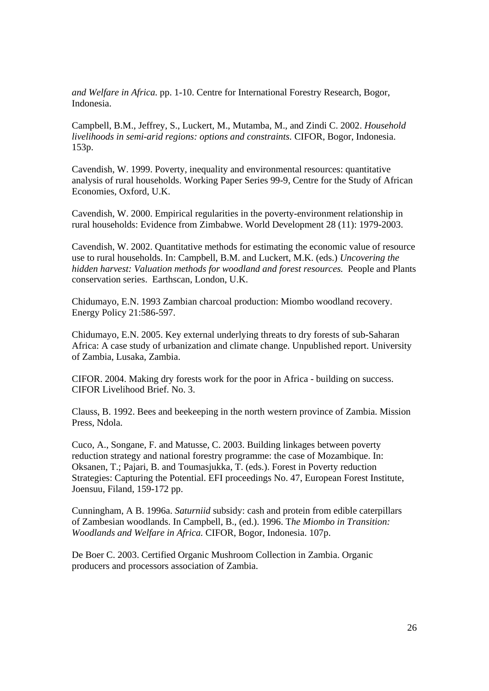*and Welfare in Africa.* pp. 1-10. Centre for International Forestry Research, Bogor, Indonesia.

Campbell, B.M., Jeffrey, S., Luckert, M., Mutamba, M., and Zindi C. 2002. *Household livelihoods in semi-arid regions: options and constraints.* CIFOR, Bogor, Indonesia. 153p.

Cavendish, W. 1999. Poverty, inequality and environmental resources: quantitative analysis of rural households. Working Paper Series 99-9, Centre for the Study of African Economies, Oxford, U.K.

Cavendish, W. 2000. Empirical regularities in the poverty-environment relationship in rural households: Evidence from Zimbabwe. World Development 28 (11): 1979-2003.

Cavendish, W. 2002. Quantitative methods for estimating the economic value of resource use to rural households. In: Campbell, B.M. and Luckert, M.K. (eds.) *Uncovering the hidden harvest: Valuation methods for woodland and forest resources.* People and Plants conservation series. Earthscan, London, U.K.

Chidumayo, E.N. 1993 Zambian charcoal production: Miombo woodland recovery. Energy Policy 21:586-597.

Chidumayo, E.N. 2005. Key external underlying threats to dry forests of sub-Saharan Africa: A case study of urbanization and climate change. Unpublished report. University of Zambia, Lusaka, Zambia.

CIFOR. 2004. Making dry forests work for the poor in Africa - building on success. CIFOR Livelihood Brief. No. 3.

Clauss, B. 1992. Bees and beekeeping in the north western province of Zambia. Mission Press, Ndola.

Cuco, A., Songane, F. and Matusse, C. 2003. Building linkages between poverty reduction strategy and national forestry programme: the case of Mozambique. In: Oksanen, T.; Pajari, B. and Toumasjukka, T. (eds.). Forest in Poverty reduction Strategies: Capturing the Potential. EFI proceedings No. 47, European Forest Institute, Joensuu, Filand, 159-172 pp.

Cunningham, A B. 1996a. *Saturniid* subsidy: cash and protein from edible caterpillars of Zambesian woodlands. In Campbell, B., (ed.). 1996. T*he Miombo in Transition: Woodlands and Welfare in Africa.* CIFOR, Bogor, Indonesia. 107p.

De Boer C. 2003. Certified Organic Mushroom Collection in Zambia. Organic producers and processors association of Zambia.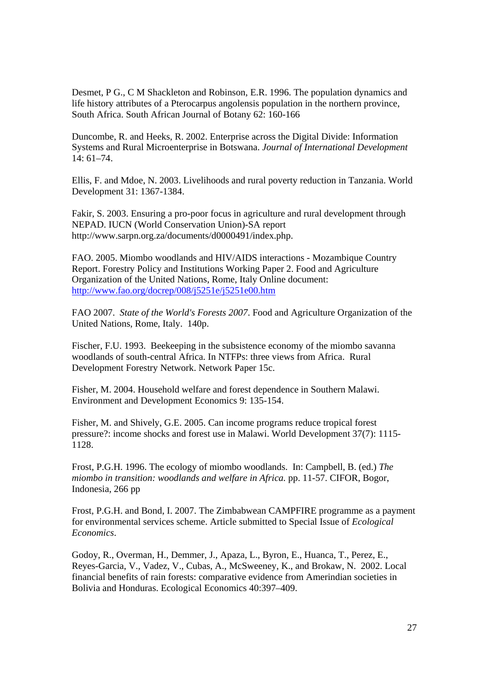Desmet, P G., C M Shackleton and Robinson, E.R. 1996. The population dynamics and life history attributes of a Pterocarpus angolensis population in the northern province, South Africa. South African Journal of Botany 62: 160-166

Duncombe, R. and Heeks, R. 2002. Enterprise across the Digital Divide: Information Systems and Rural Microenterprise in Botswana. *Journal of International Development*  14: 61–74.

Ellis, F. and Mdoe, N. 2003. Livelihoods and rural poverty reduction in Tanzania. World Development 31: 1367-1384.

Fakir, S. 2003. Ensuring a pro-poor focus in agriculture and rural development through NEPAD. IUCN (World Conservation Union)-SA report http://www.sarpn.org.za/documents/d0000491/index.php.

FAO. 2005. Miombo woodlands and HIV/AIDS interactions - Mozambique Country Report. Forestry Policy and Institutions Working Paper 2. Food and Agriculture Organization of the United Nations, Rome, Italy Online document: http://www.fao.org/docrep/008/j5251e/j5251e00.htm

FAO 2007. *State of the World's Forests 2007*. Food and Agriculture Organization of the United Nations, Rome, Italy. 140p.

Fischer, F.U. 1993. Beekeeping in the subsistence economy of the miombo savanna woodlands of south-central Africa. In NTFPs: three views from Africa. Rural Development Forestry Network. Network Paper 15c.

Fisher, M. 2004. Household welfare and forest dependence in Southern Malawi. Environment and Development Economics 9: 135-154.

Fisher, M. and Shively, G.E. 2005. Can income programs reduce tropical forest pressure?: income shocks and forest use in Malawi. World Development 37(7): 1115- 1128.

Frost, P.G.H. 1996. The ecology of miombo woodlands. In: Campbell, B. (ed.) *The miombo in transition: woodlands and welfare in Africa.* pp. 11-57. CIFOR, Bogor, Indonesia, 266 pp

Frost, P.G.H. and Bond, I. 2007. The Zimbabwean CAMPFIRE programme as a payment for environmental services scheme. Article submitted to Special Issue of *Ecological Economics*.

Godoy, R., Overman, H., Demmer, J., Apaza, L., Byron, E., Huanca, T., Perez, E., Reyes-Garcia, V., Vadez, V., Cubas, A., McSweeney, K., and Brokaw, N. 2002. Local financial benefits of rain forests: comparative evidence from Amerindian societies in Bolivia and Honduras. Ecological Economics 40:397–409.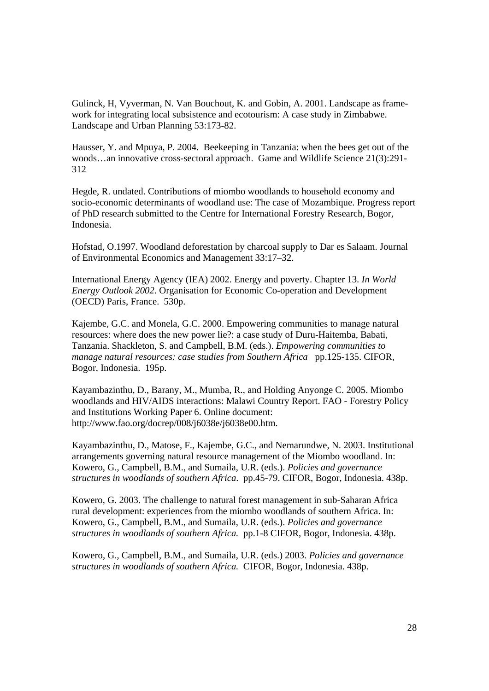Gulinck, H, Vyverman, N. Van Bouchout, K. and Gobin, A. 2001. Landscape as framework for integrating local subsistence and ecotourism: A case study in Zimbabwe. Landscape and Urban Planning 53:173-82.

Hausser, Y. and Mpuya, P. 2004. Beekeeping in Tanzania: when the bees get out of the woods…an innovative cross-sectoral approach. Game and Wildlife Science 21(3):291- 312

Hegde, R. undated. Contributions of miombo woodlands to household economy and socio-economic determinants of woodland use: The case of Mozambique. Progress report of PhD research submitted to the Centre for International Forestry Research, Bogor, Indonesia.

Hofstad, O.1997. Woodland deforestation by charcoal supply to Dar es Salaam. Journal of Environmental Economics and Management 33:17–32.

International Energy Agency (IEA) 2002. Energy and poverty. Chapter 13. *In World Energy Outlook 2002*. Organisation for Economic Co-operation and Development (OECD) Paris, France. 530p.

Kajembe, G.C. and Monela, G.C. 2000. Empowering communities to manage natural resources: where does the new power lie?: a case study of Duru-Haitemba, Babati, Tanzania. Shackleton, S. and Campbell, B.M. (eds.). *Empowering communities to manage natural resources: case studies from Southern Africa pp.125-135. CIFOR,* Bogor, Indonesia. 195p.

Kayambazinthu, D., Barany, M., Mumba, R., and Holding Anyonge C. 2005. Miombo woodlands and HIV/AIDS interactions: Malawi Country Report. FAO - Forestry Policy and Institutions Working Paper 6. Online document: http://www.fao.org/docrep/008/j6038e/j6038e00.htm.

Kayambazinthu, D., Matose, F., Kajembe, G.C., and Nemarundwe, N. 2003. Institutional arrangements governing natural resource management of the Miombo woodland. In: Kowero, G., Campbell, B.M., and Sumaila, U.R. (eds.). *Policies and governance structures in woodlands of southern Africa*. pp.45-79. CIFOR, Bogor, Indonesia. 438p.

Kowero, G. 2003. The challenge to natural forest management in sub-Saharan Africa rural development: experiences from the miombo woodlands of southern Africa. In: Kowero, G., Campbell, B.M., and Sumaila, U.R. (eds.). *Policies and governance structures in woodlands of southern Africa.* pp.1-8 CIFOR, Bogor, Indonesia. 438p.

Kowero, G., Campbell, B.M., and Sumaila, U.R. (eds.) 2003. *Policies and governance structures in woodlands of southern Africa.* CIFOR, Bogor, Indonesia. 438p.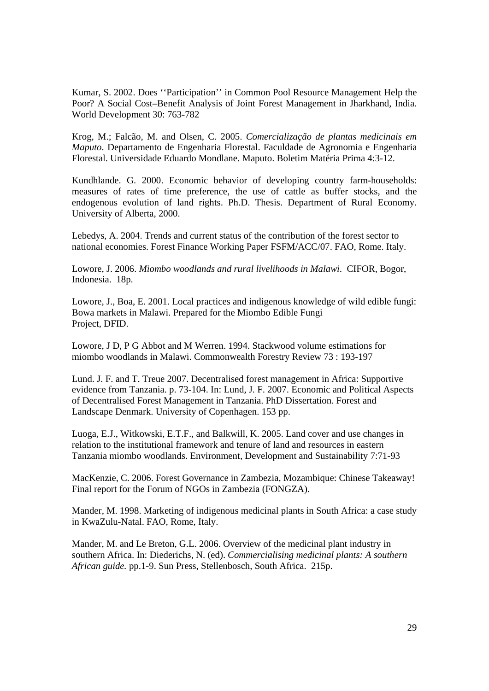Kumar, S. 2002. Does ''Participation'' in Common Pool Resource Management Help the Poor? A Social Cost–Benefit Analysis of Joint Forest Management in Jharkhand, India. World Development 30: 763-782

Krog, M.; Falcão, M. and Olsen, C. 2005. *Comercialização de plantas medicinais em Maputo*. Departamento de Engenharia Florestal. Faculdade de Agronomia e Engenharia Florestal. Universidade Eduardo Mondlane. Maputo. Boletim Matéria Prima 4:3-12.

Kundhlande. G. 2000. Economic behavior of developing country farm-households: measures of rates of time preference, the use of cattle as buffer stocks, and the endogenous evolution of land rights. Ph.D. Thesis. Department of Rural Economy. University of Alberta, 2000.

Lebedys, A. 2004. Trends and current status of the contribution of the forest sector to national economies. Forest Finance Working Paper FSFM/ACC/07. FAO, Rome. Italy.

Lowore, J. 2006. *Miombo woodlands and rural livelihoods in Malawi*. CIFOR, Bogor, Indonesia. 18p.

Lowore, J., Boa, E. 2001. Local practices and indigenous knowledge of wild edible fungi: Bowa markets in Malawi. Prepared for the Miombo Edible Fungi Project, DFID.

Lowore, J D, P G Abbot and M Werren. 1994. Stackwood volume estimations for miombo woodlands in Malawi. Commonwealth Forestry Review 73 : 193-197

Lund. J. F. and T. Treue 2007. Decentralised forest management in Africa: Supportive evidence from Tanzania. p. 73-104. In: Lund, J. F. 2007. Economic and Political Aspects of Decentralised Forest Management in Tanzania. PhD Dissertation. Forest and Landscape Denmark. University of Copenhagen. 153 pp.

Luoga, E.J., Witkowski, E.T.F., and Balkwill, K. 2005. Land cover and use changes in relation to the institutional framework and tenure of land and resources in eastern Tanzania miombo woodlands. Environment, Development and Sustainability 7:71-93

MacKenzie, C. 2006. Forest Governance in Zambezia, Mozambique: Chinese Takeaway! Final report for the Forum of NGOs in Zambezia (FONGZA).

Mander, M. 1998. Marketing of indigenous medicinal plants in South Africa: a case study in KwaZulu-Natal. FAO, Rome, Italy.

Mander, M. and Le Breton, G.L. 2006. Overview of the medicinal plant industry in southern Africa. In: Diederichs, N. (ed). *Commercialising medicinal plants: A southern African guide.* pp.1-9. Sun Press, Stellenbosch, South Africa. 215p.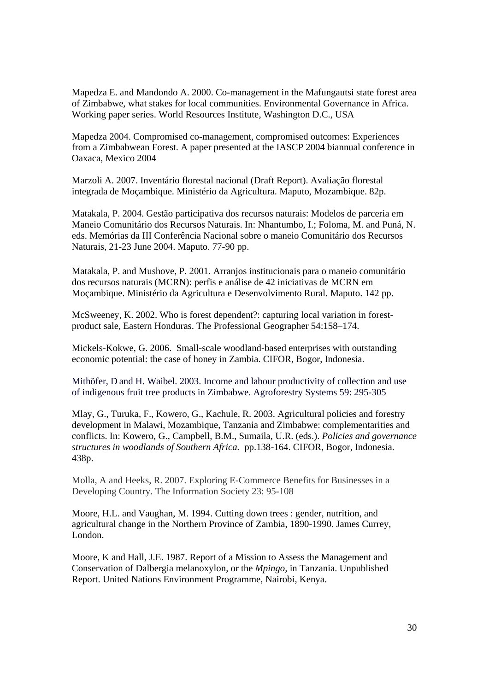Mapedza E. and Mandondo A. 2000. Co-management in the Mafungautsi state forest area of Zimbabwe, what stakes for local communities. Environmental Governance in Africa. Working paper series. World Resources Institute, Washington D.C., USA

Mapedza 2004. Compromised co-management, compromised outcomes: Experiences from a Zimbabwean Forest. A paper presented at the IASCP 2004 biannual conference in Oaxaca, Mexico 2004

Marzoli A. 2007. Inventário florestal nacional (Draft Report). Avaliação florestal integrada de Moçambique. Ministério da Agricultura. Maputo, Mozambique. 82p.

Matakala, P. 2004. Gestão participativa dos recursos naturais: Modelos de parceria em Maneio Comunitário dos Recursos Naturais. In: Nhantumbo, I.; Foloma, M. and Puná, N. eds. Memórias da III Conferência Nacional sobre o maneio Comunitário dos Recursos Naturais, 21-23 June 2004. Maputo. 77-90 pp.

Matakala, P. and Mushove, P. 2001. Arranjos institucionais para o maneio comunitário dos recursos naturais (MCRN): perfis e análise de 42 iniciativas de MCRN em Moçambique. Ministério da Agricultura e Desenvolvimento Rural. Maputo. 142 pp.

McSweeney, K. 2002. Who is forest dependent?: capturing local variation in forestproduct sale, Eastern Honduras. The Professional Geographer 54:158–174.

Mickels-Kokwe, G. 2006. Small-scale woodland-based enterprises with outstanding economic potential: the case of honey in Zambia. CIFOR, Bogor, Indonesia.

Mithöfer, D and H. Waibel. 2003. Income and labour productivity of collection and use of indigenous fruit tree products in Zimbabwe. Agroforestry Systems 59: 295-305

Mlay, G., Turuka, F., Kowero, G., Kachule, R. 2003. Agricultural policies and forestry development in Malawi, Mozambique, Tanzania and Zimbabwe: complementarities and conflicts. In: Kowero, G., Campbell, B.M., Sumaila, U.R. (eds.). *Policies and governance structures in woodlands of Southern Africa.* pp.138-164. CIFOR, Bogor, Indonesia. 438p.

Molla, A and Heeks, R. 2007. Exploring E-Commerce Benefits for Businesses in a Developing Country. The Information Society 23: 95-108

Moore, H.L. and Vaughan, M. 1994. Cutting down trees : gender, nutrition, and agricultural change in the Northern Province of Zambia, 1890-1990. James Currey, London.

Moore, K and Hall, J.E. 1987. Report of a Mission to Assess the Management and Conservation of Dalbergia melanoxylon*,* or the *Mpingo,* in Tanzania. Unpublished Report. United Nations Environment Programme, Nairobi, Kenya.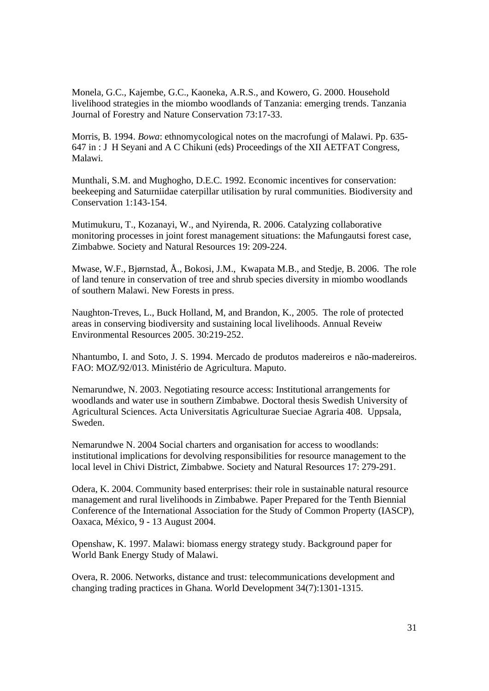Monela, G.C., Kajembe, G.C., Kaoneka, A.R.S., and Kowero, G. 2000. Household livelihood strategies in the miombo woodlands of Tanzania: emerging trends. Tanzania Journal of Forestry and Nature Conservation 73:17-33.

Morris, B. 1994. *Bowa*: ethnomycological notes on the macrofungi of Malawi. Pp. 635- 647 in : J H Seyani and A C Chikuni (eds) Proceedings of the XII AETFAT Congress, Malawi.

Munthali, S.M. and Mughogho, D.E.C. 1992. Economic incentives for conservation: beekeeping and Saturniidae caterpillar utilisation by rural communities. Biodiversity and Conservation 1:143-154.

Mutimukuru, T., Kozanayi, W., and Nyirenda, R. 2006. Catalyzing collaborative monitoring processes in joint forest management situations: the Mafungautsi forest case, Zimbabwe. Society and Natural Resources 19: 209-224.

Mwase, W.F., Bjørnstad, Å., Bokosi, J.M., Kwapata M.B., and Stedje, B. 2006. The role of land tenure in conservation of tree and shrub species diversity in miombo woodlands of southern Malawi. New Forests in press.

Naughton-Treves, L., Buck Holland, M, and Brandon, K., 2005. The role of protected areas in conserving biodiversity and sustaining local livelihoods. Annual Reveiw Environmental Resources 2005. 30:219-252.

Nhantumbo, I. and Soto, J. S. 1994. Mercado de produtos madereiros e não-madereiros. FAO: MOZ/92/013. Ministério de Agricultura. Maputo.

Nemarundwe, N. 2003. Negotiating resource access: Institutional arrangements for woodlands and water use in southern Zimbabwe. Doctoral thesis Swedish University of Agricultural Sciences. Acta Universitatis Agriculturae Sueciae Agraria 408. Uppsala, Sweden.

Nemarundwe N. 2004 Social charters and organisation for access to woodlands: institutional implications for devolving responsibilities for resource management to the local level in Chivi District, Zimbabwe. Society and Natural Resources 17: 279-291.

Odera, K. 2004. Community based enterprises: their role in sustainable natural resource management and rural livelihoods in Zimbabwe. Paper Prepared for the Tenth Biennial Conference of the International Association for the Study of Common Property (IASCP), Oaxaca, México, 9 - 13 August 2004.

Openshaw, K. 1997. Malawi: biomass energy strategy study. Background paper for World Bank Energy Study of Malawi.

Overa, R. 2006. Networks, distance and trust: telecommunications development and changing trading practices in Ghana. World Development 34(7):1301-1315.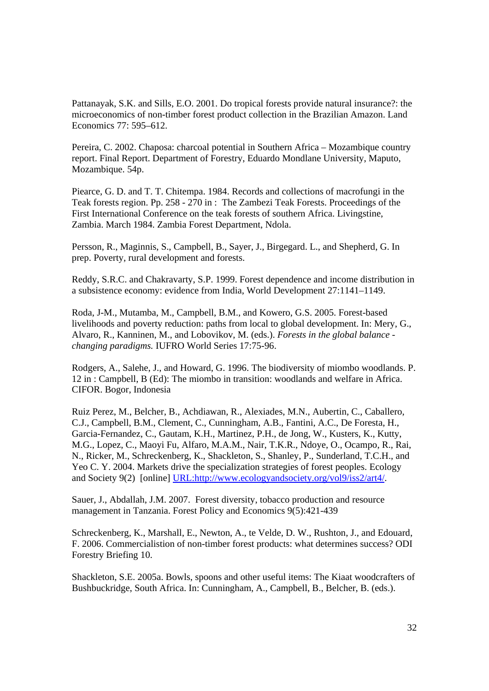Pattanayak, S.K. and Sills, E.O. 2001. Do tropical forests provide natural insurance?: the microeconomics of non-timber forest product collection in the Brazilian Amazon. Land Economics 77: 595–612.

Pereira, C. 2002. Chaposa: charcoal potential in Southern Africa – Mozambique country report. Final Report. Department of Forestry, Eduardo Mondlane University, Maputo, Mozambique. 54p.

Piearce, G. D. and T. T. Chitempa. 1984. Records and collections of macrofungi in the Teak forests region. Pp. 258 - 270 in : The Zambezi Teak Forests. Proceedings of the First International Conference on the teak forests of southern Africa. Livingstine, Zambia. March 1984. Zambia Forest Department, Ndola.

Persson, R., Maginnis, S., Campbell, B., Sayer, J., Birgegard. L., and Shepherd, G. In prep. Poverty, rural development and forests.

Reddy, S.R.C. and Chakravarty, S.P. 1999. Forest dependence and income distribution in a subsistence economy: evidence from India, World Development 27:1141–1149.

Roda, J-M., Mutamba, M., Campbell, B.M., and Kowero, G.S. 2005. Forest-based livelihoods and poverty reduction: paths from local to global development. In: Mery, G., Alvaro, R., Kanninen, M., and Lobovikov, M. (eds.). *Forests in the global balance changing paradigms.* IUFRO World Series 17:75-96.

Rodgers, A., Salehe, J., and Howard, G. 1996. The biodiversity of miombo woodlands. P. 12 in : Campbell, B (Ed): The miombo in transition: woodlands and welfare in Africa. CIFOR. Bogor, Indonesia

Ruiz Perez, M., Belcher, B., Achdiawan, R., Alexiades, M.N., Aubertin, C., Caballero, C.J., Campbell, B.M., Clement, C., Cunningham, A.B., Fantini, A.C., De Foresta, H., Garcia-Fernandez, C., Gautam, K.H., Martinez, P.H., de Jong, W., Kusters, K., Kutty, M.G., Lopez, C., Maoyi Fu, Alfaro, M.A.M., Nair, T.K.R., Ndoye, O., Ocampo, R., Rai, N., Ricker, M., Schreckenberg, K., Shackleton, S., Shanley, P., Sunderland, T.C.H., and Yeo C. Y. 2004. Markets drive the specialization strategies of forest peoples. Ecology and Society 9(2) [online] URL:http://www.ecologyandsociety.org/vol9/iss2/art4/.

Sauer, J., Abdallah, J.M. 2007. Forest diversity, tobacco production and resource management in Tanzania. Forest Policy and Economics 9(5):421-439

Schreckenberg, K., Marshall, E., Newton, A., te Velde, D. W., Rushton, J., and Edouard, F. 2006. Commercialistion of non-timber forest products: what determines success? ODI Forestry Briefing 10.

Shackleton, S.E. 2005a. Bowls, spoons and other useful items: The Kiaat woodcrafters of Bushbuckridge, South Africa. In: Cunningham, A., Campbell, B., Belcher, B. (eds.).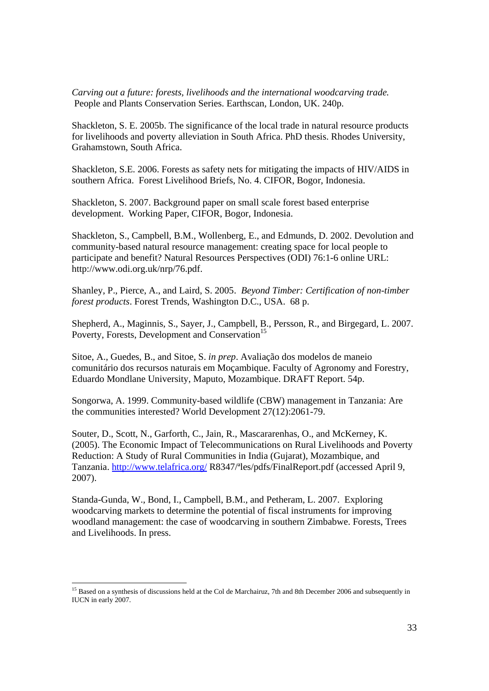*Carving out a future: forests, livelihoods and the international woodcarving trade.* People and Plants Conservation Series. Earthscan, London, UK. 240p.

Shackleton, S. E. 2005b. The significance of the local trade in natural resource products for livelihoods and poverty alleviation in South Africa. PhD thesis. Rhodes University, Grahamstown, South Africa.

Shackleton, S.E. 2006. Forests as safety nets for mitigating the impacts of HIV/AIDS in southern Africa. Forest Livelihood Briefs, No. 4. CIFOR, Bogor, Indonesia.

Shackleton, S. 2007. Background paper on small scale forest based enterprise development. Working Paper, CIFOR, Bogor, Indonesia.

Shackleton, S., Campbell, B.M., Wollenberg, E., and Edmunds, D. 2002. Devolution and community-based natural resource management: creating space for local people to participate and benefit? Natural Resources Perspectives (ODI) 76:1-6 online URL: http://www.odi.org.uk/nrp/76.pdf.

Shanley, P., Pierce, A., and Laird, S. 2005. *Beyond Timber: Certification of non-timber forest products*. Forest Trends, Washington D.C., USA. 68 p.

Shepherd, A., Maginnis, S., Sayer, J., Campbell, B., Persson, R., and Birgegard, L. 2007. Poverty, Forests, Development and Conservation<sup>15</sup>

Sitoe, A., Guedes, B., and Sitoe, S. *in prep*. Avaliação dos modelos de maneio comunitário dos recursos naturais em Moçambique. Faculty of Agronomy and Forestry, Eduardo Mondlane University, Maputo, Mozambique. DRAFT Report. 54p.

Songorwa, A. 1999. Community-based wildlife (CBW) management in Tanzania: Are the communities interested? World Development 27(12):2061-79.

Souter, D., Scott, N., Garforth, C., Jain, R., Mascararenhas, O., and McKerney, K. (2005). The Economic Impact of Telecommunications on Rural Livelihoods and Poverty Reduction: A Study of Rural Communities in India (Gujarat), Mozambique, and Tanzania. http://www.telafrica.org/ R8347/ªles/pdfs/FinalReport.pdf (accessed April 9, 2007).

Standa-Gunda, W., Bond, I., Campbell, B.M., and Petheram, L. 2007. Exploring woodcarving markets to determine the potential of fiscal instruments for improving woodland management: the case of woodcarving in southern Zimbabwe. Forests, Trees and Livelihoods. In press.

<sup>&</sup>lt;sup>15</sup> Based on a synthesis of discussions held at the Col de Marchairuz, 7th and 8th December 2006 and subsequently in IUCN in early 2007.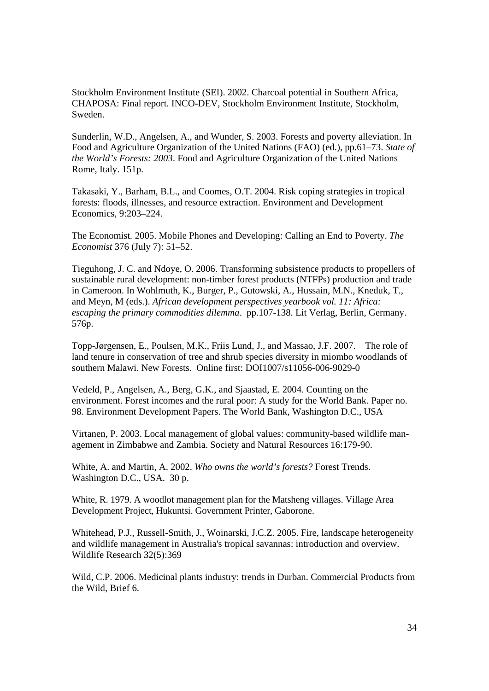Stockholm Environment Institute (SEI). 2002. Charcoal potential in Southern Africa, CHAPOSA: Final report. INCO-DEV, Stockholm Environment Institute, Stockholm, Sweden.

Sunderlin, W.D., Angelsen, A., and Wunder, S. 2003. Forests and poverty alleviation. In Food and Agriculture Organization of the United Nations (FAO) (ed.), pp.61–73. *State of the World's Forests: 2003*. Food and Agriculture Organization of the United Nations Rome, Italy. 151p.

Takasaki, Y., Barham, B.L., and Coomes, O.T. 2004. Risk coping strategies in tropical forests: floods, illnesses, and resource extraction. Environment and Development Economics, 9:203–224.

The Economist*.* 2005. Mobile Phones and Developing: Calling an End to Poverty. *The Economist* 376 (July 7): 51–52.

Tieguhong, J. C. and Ndoye, O. 2006. Transforming subsistence products to propellers of sustainable rural development: non-timber forest products (NTFPs) production and trade in Cameroon. In Wohlmuth, K., Burger, P., Gutowski, A., Hussain, M.N., Kneduk, T., and Meyn, M (eds.). *African development perspectives yearbook vol. 11: Africa: escaping the primary commodities dilemma*. pp.107-138. Lit Verlag, Berlin, Germany. 576p.

Topp-Jørgensen, E., Poulsen, M.K., Friis Lund, J., and Massao, J.F. 2007. The role of land tenure in conservation of tree and shrub species diversity in miombo woodlands of southern Malawi. New Forests. Online first: DOI1007/s11056-006-9029-0

Vedeld, P., Angelsen, A., Berg, G.K., and Sjaastad, E. 2004. Counting on the environment. Forest incomes and the rural poor: A study for the World Bank. Paper no. 98. Environment Development Papers. The World Bank, Washington D.C., USA

Virtanen, P. 2003. Local management of global values: community-based wildlife management in Zimbabwe and Zambia. Society and Natural Resources 16:179-90.

White, A. and Martin, A. 2002. *Who owns the world's forests?* Forest Trends. Washington D.C., USA. 30 p.

White, R. 1979. A woodlot management plan for the Matsheng villages. Village Area Development Project, Hukuntsi. Government Printer, Gaborone.

Whitehead, P.J., Russell-Smith, J., Woinarski, J.C.Z. 2005. Fire, landscape heterogeneity and wildlife management in Australia's tropical savannas: introduction and overview. Wildlife Research 32(5):369

Wild, C.P. 2006. Medicinal plants industry: trends in Durban. Commercial Products from the Wild, Brief 6.